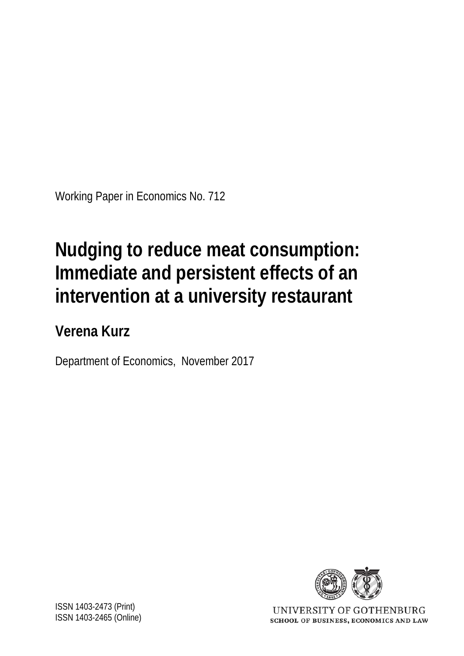Working Paper in Economics No. 712

# **Nudging to reduce meat consumption: Immediate and persistent effects of an intervention at a university restaurant**

**Verena Kurz**

Department of Economics, November 2017



UNIVERSITY OF GOTHENBURG SCHOOL OF BUSINESS, ECONOMICS AND LAW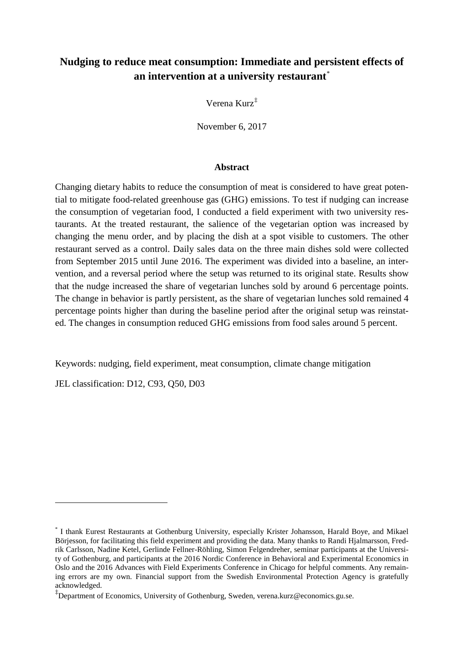## **Nudging to reduce meat consumption: Immediate and persistent effects of an intervention at a university restaurant**[\\*](#page-1-0)

Verena Kurz[‡](#page-1-1)

November 6, 2017

#### **Abstract**

Changing dietary habits to reduce the consumption of meat is considered to have great potential to mitigate food-related greenhouse gas (GHG) emissions. To test if nudging can increase the consumption of vegetarian food, I conducted a field experiment with two university restaurants. At the treated restaurant, the salience of the vegetarian option was increased by changing the menu order, and by placing the dish at a spot visible to customers. The other restaurant served as a control. Daily sales data on the three main dishes sold were collected from September 2015 until June 2016. The experiment was divided into a baseline, an intervention, and a reversal period where the setup was returned to its original state. Results show that the nudge increased the share of vegetarian lunches sold by around 6 percentage points. The change in behavior is partly persistent, as the share of vegetarian lunches sold remained 4 percentage points higher than during the baseline period after the original setup was reinstated. The changes in consumption reduced GHG emissions from food sales around 5 percent.

Keywords: nudging, field experiment, meat consumption, climate change mitigation

JEL classification: D12, C93, Q50, D03

<span id="page-1-0"></span><sup>\*</sup> I thank Eurest Restaurants at Gothenburg University, especially Krister Johansson, Harald Boye, and Mikael Börjesson, for facilitating this field experiment and providing the data. Many thanks to Randi Hjalmarsson, Fredrik Carlsson, Nadine Ketel, Gerlinde Fellner-Röhling, Simon Felgendreher, seminar participants at the University of Gothenburg, and participants at the 2016 Nordic Conference in Behavioral and Experimental Economics in Oslo and the 2016 Advances with Field Experiments Conference in Chicago for helpful comments. Any remaining errors are my own. Financial support from the Swedish Environmental Protection Agency is gratefully acknowledged.

<span id="page-1-1"></span><sup>‡</sup> Department of Economics, University of Gothenburg, Sweden, verena.kurz@economics.gu.se.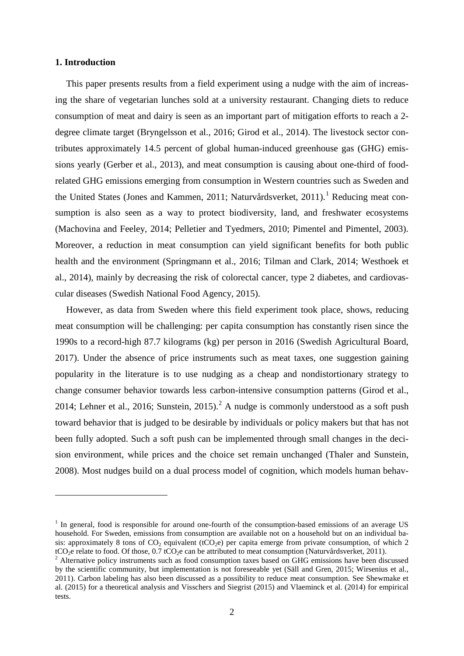#### **1. Introduction**

 $\overline{a}$ 

This paper presents results from a field experiment using a nudge with the aim of increasing the share of vegetarian lunches sold at a university restaurant. Changing diets to reduce consumption of meat and dairy is seen as an important part of mitigation efforts to reach a 2 degree climate target (Bryngelsson et al., 2016; Girod et al., 2014). The livestock sector contributes approximately 14.5 percent of global human-induced greenhouse gas (GHG) emissions yearly (Gerber et al., 2013), and meat consumption is causing about one-third of foodrelated GHG emissions emerging from consumption in Western countries such as Sweden and the United States (Jones and Kammen, 20[1](#page-2-0)1; Naturvårdsverket, 2011).<sup>1</sup> Reducing meat consumption is also seen as a way to protect biodiversity, land, and freshwater ecosystems (Machovina and Feeley, 2014; Pelletier and Tyedmers, 2010; Pimentel and Pimentel, 2003). Moreover, a reduction in meat consumption can yield significant benefits for both public health and the environment (Springmann et al., 2016; Tilman and Clark, 2014; Westhoek et al., 2014), mainly by decreasing the risk of colorectal cancer, type 2 diabetes, and cardiovascular diseases (Swedish National Food Agency, 2015).

However, as data from Sweden where this field experiment took place, shows, reducing meat consumption will be challenging: per capita consumption has constantly risen since the 1990s to a record-high 87.7 kilograms (kg) per person in 2016 (Swedish Agricultural Board, 2017). Under the absence of price instruments such as meat taxes, one suggestion gaining popularity in the literature is to use nudging as a cheap and nondistortionary strategy to change consumer behavior towards less carbon-intensive consumption patterns (Girod et al., [2](#page-2-1)014; Lehner et al., 2016; Sunstein, 2015).<sup>2</sup> A nudge is commonly understood as a soft push toward behavior that is judged to be desirable by individuals or policy makers but that has not been fully adopted. Such a soft push can be implemented through small changes in the decision environment, while prices and the choice set remain unchanged (Thaler and Sunstein, 2008). Most nudges build on a dual process model of cognition, which models human behav-

<span id="page-2-0"></span><sup>&</sup>lt;sup>1</sup> In general, food is responsible for around one-fourth of the consumption-based emissions of an average US household. For Sweden, emissions from consumption are available not on a household but on an individual basis: approximately 8 tons of  $CO_2$  equivalent (tCO<sub>2</sub>e) per capita emerge from private consumption, of which 2 tCO<sub>2</sub>e relate to food. Of those, 0.7 tCO<sub>2</sub>e can be attributed to meat consumption (Naturvårdsverket, 2011).

<span id="page-2-1"></span> $\alpha^2$  Alternative policy instruments such as food consumption taxes based on GHG emissions have been discussed by the scientific community, but implementation is not foreseeable yet (Säll and Gren, 2015; Wirsenius et al., 2011). Carbon labeling has also been discussed as a possibility to reduce meat consumption. See Shewmake et al. (2015) for a theoretical analysis and Visschers and Siegrist (2015) and Vlaeminck et al. (2014) for empirical tests.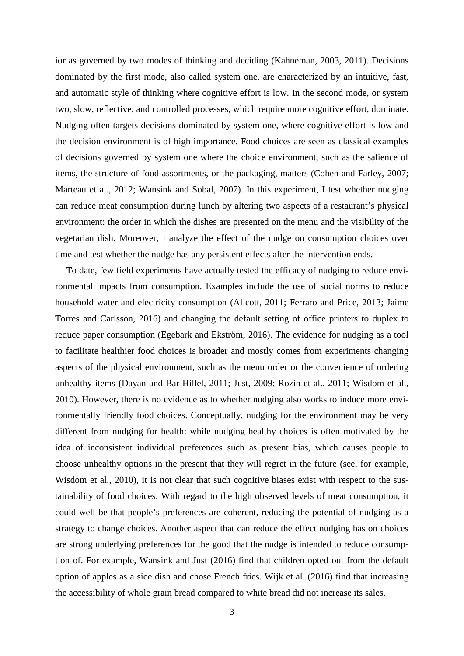ior as governed by two modes of thinking and deciding (Kahneman, 2003, 2011). Decisions dominated by the first mode, also called system one, are characterized by an intuitive, fast, and automatic style of thinking where cognitive effort is low. In the second mode, or system two, slow, reflective, and controlled processes, which require more cognitive effort, dominate. Nudging often targets decisions dominated by system one, where cognitive effort is low and the decision environment is of high importance. Food choices are seen as classical examples of decisions governed by system one where the choice environment, such as the salience of items, the structure of food assortments, or the packaging, matters (Cohen and Farley, 2007; Marteau et al., 2012; Wansink and Sobal, 2007). In this experiment, I test whether nudging can reduce meat consumption during lunch by altering two aspects of a restaurant's physical environment: the order in which the dishes are presented on the menu and the visibility of the vegetarian dish. Moreover, I analyze the effect of the nudge on consumption choices over time and test whether the nudge has any persistent effects after the intervention ends.

To date, few field experiments have actually tested the efficacy of nudging to reduce environmental impacts from consumption. Examples include the use of social norms to reduce household water and electricity consumption (Allcott, 2011; Ferraro and Price, 2013; Jaime Torres and Carlsson, 2016) and changing the default setting of office printers to duplex to reduce paper consumption (Egebark and Ekström, 2016). The evidence for nudging as a tool to facilitate healthier food choices is broader and mostly comes from experiments changing aspects of the physical environment, such as the menu order or the convenience of ordering unhealthy items (Dayan and Bar-Hillel, 2011; Just, 2009; Rozin et al., 2011; Wisdom et al., 2010). However, there is no evidence as to whether nudging also works to induce more environmentally friendly food choices. Conceptually, nudging for the environment may be very different from nudging for health: while nudging healthy choices is often motivated by the idea of inconsistent individual preferences such as present bias, which causes people to choose unhealthy options in the present that they will regret in the future (see, for example, Wisdom et al., 2010), it is not clear that such cognitive biases exist with respect to the sustainability of food choices. With regard to the high observed levels of meat consumption, it could well be that people's preferences are coherent, reducing the potential of nudging as a strategy to change choices. Another aspect that can reduce the effect nudging has on choices are strong underlying preferences for the good that the nudge is intended to reduce consumption of. For example, Wansink and Just (2016) find that children opted out from the default option of apples as a side dish and chose French fries. Wijk et al. (2016) find that increasing the accessibility of whole grain bread compared to white bread did not increase its sales.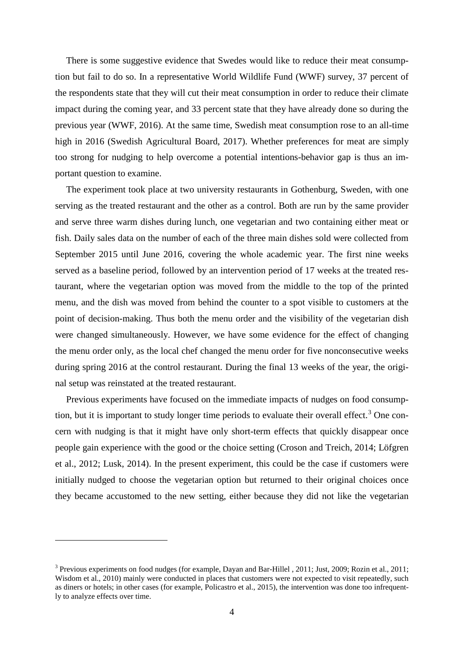There is some suggestive evidence that Swedes would like to reduce their meat consumption but fail to do so. In a representative World Wildlife Fund (WWF) survey, 37 percent of the respondents state that they will cut their meat consumption in order to reduce their climate impact during the coming year, and 33 percent state that they have already done so during the previous year (WWF, 2016). At the same time, Swedish meat consumption rose to an all-time high in 2016 (Swedish Agricultural Board, 2017). Whether preferences for meat are simply too strong for nudging to help overcome a potential intentions-behavior gap is thus an important question to examine.

The experiment took place at two university restaurants in Gothenburg, Sweden, with one serving as the treated restaurant and the other as a control. Both are run by the same provider and serve three warm dishes during lunch, one vegetarian and two containing either meat or fish. Daily sales data on the number of each of the three main dishes sold were collected from September 2015 until June 2016, covering the whole academic year. The first nine weeks served as a baseline period, followed by an intervention period of 17 weeks at the treated restaurant, where the vegetarian option was moved from the middle to the top of the printed menu, and the dish was moved from behind the counter to a spot visible to customers at the point of decision-making. Thus both the menu order and the visibility of the vegetarian dish were changed simultaneously. However, we have some evidence for the effect of changing the menu order only, as the local chef changed the menu order for five nonconsecutive weeks during spring 2016 at the control restaurant. During the final 13 weeks of the year, the original setup was reinstated at the treated restaurant.

Previous experiments have focused on the immediate impacts of nudges on food consump-tion, but it is important to study longer time periods to evaluate their overall effect.<sup>[3](#page-4-0)</sup> One concern with nudging is that it might have only short-term effects that quickly disappear once people gain experience with the good or the choice setting (Croson and Treich, 2014; Löfgren et al., 2012; Lusk, 2014). In the present experiment, this could be the case if customers were initially nudged to choose the vegetarian option but returned to their original choices once they became accustomed to the new setting, either because they did not like the vegetarian

<span id="page-4-0"></span><sup>3</sup> Previous experiments on food nudges (for example, Dayan and Bar-Hillel , 2011; Just, 2009; Rozin et al., 2011; Wisdom et al., 2010) mainly were conducted in places that customers were not expected to visit repeatedly, such as diners or hotels; in other cases (for example, Policastro et al., 2015), the intervention was done too infrequently to analyze effects over time.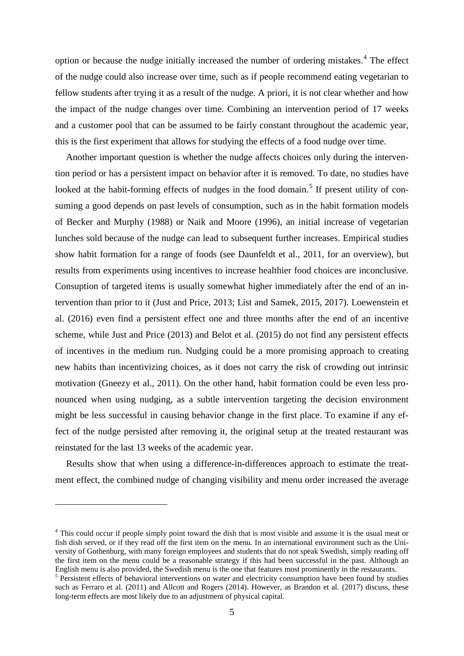option or because the nudge initially increased the number of ordering mistakes.<sup>[4](#page-5-0)</sup> The effect of the nudge could also increase over time, such as if people recommend eating vegetarian to fellow students after trying it as a result of the nudge. A priori, it is not clear whether and how the impact of the nudge changes over time. Combining an intervention period of 17 weeks and a customer pool that can be assumed to be fairly constant throughout the academic year, this is the first experiment that allows for studying the effects of a food nudge over time.

Another important question is whether the nudge affects choices only during the intervention period or has a persistent impact on behavior after it is removed. To date, no studies have looked at the habit-forming effects of nudges in the food domain.<sup>[5](#page-5-1)</sup> If present utility of consuming a good depends on past levels of consumption, such as in the habit formation models of Becker and Murphy (1988) or Naik and Moore (1996), an initial increase of vegetarian lunches sold because of the nudge can lead to subsequent further increases. Empirical studies show habit formation for a range of foods (see Daunfeldt et al., 2011, for an overview), but results from experiments using incentives to increase healthier food choices are inconclusive. Consuption of targeted items is usually somewhat higher immediately after the end of an intervention than prior to it (Just and Price, 2013; List and Samek, 2015, 2017). Loewenstein et al. (2016) even find a persistent effect one and three months after the end of an incentive scheme, while Just and Price (2013) and Belot et al. (2015) do not find any persistent effects of incentives in the medium run. Nudging could be a more promising approach to creating new habits than incentivizing choices, as it does not carry the risk of crowding out intrinsic motivation (Gneezy et al., 2011). On the other hand, habit formation could be even less pronounced when using nudging, as a subtle intervention targeting the decision environment might be less successful in causing behavior change in the first place. To examine if any effect of the nudge persisted after removing it, the original setup at the treated restaurant was reinstated for the last 13 weeks of the academic year.

Results show that when using a difference-in-differences approach to estimate the treatment effect, the combined nudge of changing visibility and menu order increased the average

<span id="page-5-0"></span><sup>&</sup>lt;sup>4</sup> This could occur if people simply point toward the dish that is most visible and assume it is the usual meat or fish dish served, or if they read off the first item on the menu. In an international environment such as the University of Gothenburg, with many foreign employees and students that do not speak Swedish, simply reading off the first item on the menu could be a reasonable strategy if this had been successful in the past. Although an English menu is also provided, the Swedish menu is the one that features most prominently in the restaurants.

<span id="page-5-1"></span> $\frac{1}{2}$  Persistent effects of behavioral interventions on water and electricity consumption have been found by studies such as Ferraro et al. (2011) and Allcott and Rogers (2014). However, as Brandon et al. (2017) discuss, these long-term effects are most likely due to an adjustment of physical capital.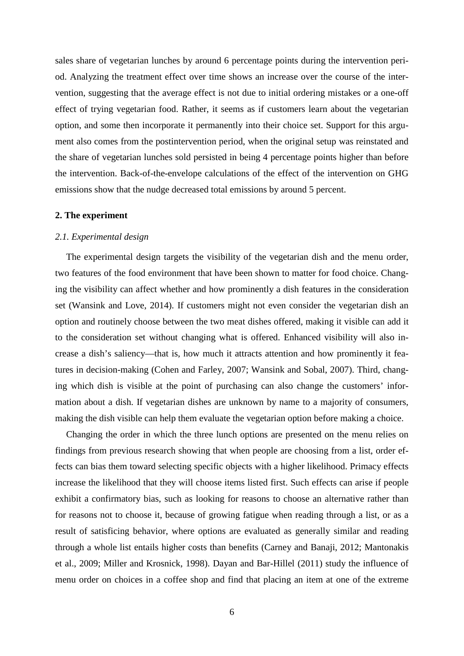sales share of vegetarian lunches by around 6 percentage points during the intervention period. Analyzing the treatment effect over time shows an increase over the course of the intervention, suggesting that the average effect is not due to initial ordering mistakes or a one-off effect of trying vegetarian food. Rather, it seems as if customers learn about the vegetarian option, and some then incorporate it permanently into their choice set. Support for this argument also comes from the postintervention period, when the original setup was reinstated and the share of vegetarian lunches sold persisted in being 4 percentage points higher than before the intervention. Back-of-the-envelope calculations of the effect of the intervention on GHG emissions show that the nudge decreased total emissions by around 5 percent.

#### **2. The experiment**

#### *2.1. Experimental design*

The experimental design targets the visibility of the vegetarian dish and the menu order, two features of the food environment that have been shown to matter for food choice. Changing the visibility can affect whether and how prominently a dish features in the consideration set (Wansink and Love, 2014). If customers might not even consider the vegetarian dish an option and routinely choose between the two meat dishes offered, making it visible can add it to the consideration set without changing what is offered. Enhanced visibility will also increase a dish's saliency—that is, how much it attracts attention and how prominently it features in decision-making (Cohen and Farley, 2007; Wansink and Sobal, 2007). Third, changing which dish is visible at the point of purchasing can also change the customers' information about a dish. If vegetarian dishes are unknown by name to a majority of consumers, making the dish visible can help them evaluate the vegetarian option before making a choice.

Changing the order in which the three lunch options are presented on the menu relies on findings from previous research showing that when people are choosing from a list, order effects can bias them toward selecting specific objects with a higher likelihood. Primacy effects increase the likelihood that they will choose items listed first. Such effects can arise if people exhibit a confirmatory bias, such as looking for reasons to choose an alternative rather than for reasons not to choose it, because of growing fatigue when reading through a list, or as a result of satisficing behavior, where options are evaluated as generally similar and reading through a whole list entails higher costs than benefits (Carney and Banaji, 2012; Mantonakis et al., 2009; Miller and Krosnick, 1998). Dayan and Bar-Hillel (2011) study the influence of menu order on choices in a coffee shop and find that placing an item at one of the extreme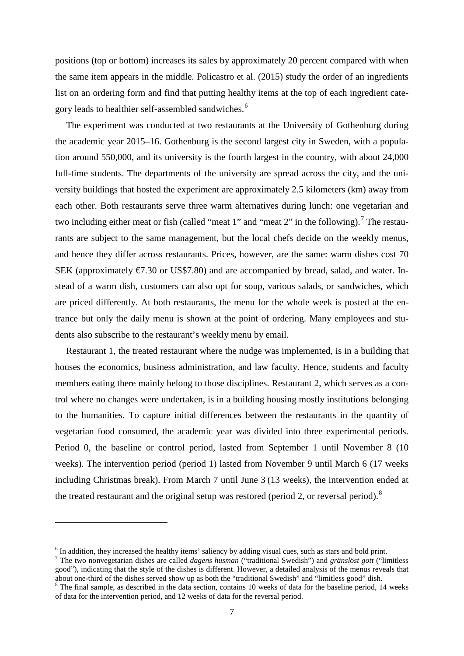positions (top or bottom) increases its sales by approximately 20 percent compared with when the same item appears in the middle. Policastro et al. (2015) study the order of an ingredients list on an ordering form and find that putting healthy items at the top of each ingredient category leads to healthier self-assembled sandwiches. [6](#page-7-0)

The experiment was conducted at two restaurants at the University of Gothenburg during the academic year 2015–16. Gothenburg is the second largest city in Sweden, with a population around 550,000, and its university is the fourth largest in the country, with about 24,000 full-time students. The departments of the university are spread across the city, and the university buildings that hosted the experiment are approximately 2.5 kilometers (km) away from each other. Both restaurants serve three warm alternatives during lunch: one vegetarian and two including either meat or fish (called "meat 1" and "meat 2" in the following).<sup>[7](#page-7-1)</sup> The restaurants are subject to the same management, but the local chefs decide on the weekly menus, and hence they differ across restaurants. Prices, however, are the same: warm dishes cost 70 SEK (approximately  $\epsilon$ 7.30 or US\$7.80) and are accompanied by bread, salad, and water. Instead of a warm dish, customers can also opt for soup, various salads, or sandwiches, which are priced differently. At both restaurants, the menu for the whole week is posted at the entrance but only the daily menu is shown at the point of ordering. Many employees and students also subscribe to the restaurant's weekly menu by email.

Restaurant 1, the treated restaurant where the nudge was implemented, is in a building that houses the economics, business administration, and law faculty. Hence, students and faculty members eating there mainly belong to those disciplines. Restaurant 2, which serves as a control where no changes were undertaken, is in a building housing mostly institutions belonging to the humanities. To capture initial differences between the restaurants in the quantity of vegetarian food consumed, the academic year was divided into three experimental periods. Period 0, the baseline or control period, lasted from September 1 until November 8 (10 weeks). The intervention period (period 1) lasted from November 9 until March 6 (17 weeks including Christmas break). From March 7 until June 3 (13 weeks), the intervention ended at the treated restaurant and the original setup was restored (period 2, or reversal period).<sup>[8](#page-7-2)</sup>

<span id="page-7-0"></span><sup>6</sup> In addition, they increased the healthy items' saliency by adding visual cues, such as stars and bold print.

<span id="page-7-1"></span><sup>7</sup> The two nonvegetarian dishes are called *dagens husman* ("traditional Swedish") and *gränslöst gott* ("limitless good"), indicating that the style of the dishes is different. However, a detailed analysis of the menus reveals that about one-third of the dishes served show up as both the "traditional Swedish" and "limitless good" dish.

<span id="page-7-2"></span> $8$  The final sample, as described in the data section, contains 10 weeks of data for the baseline period, 14 weeks of data for the intervention period, and 12 weeks of data for the reversal period.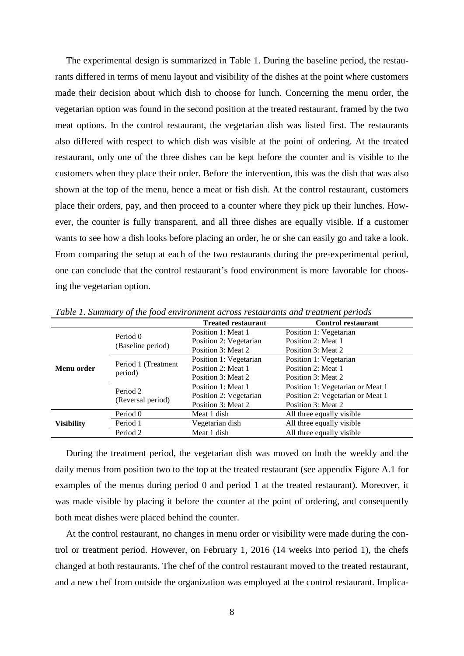The experimental design is summarized in [Table 1.](#page-8-0) During the baseline period, the restaurants differed in terms of menu layout and visibility of the dishes at the point where customers made their decision about which dish to choose for lunch. Concerning the menu order, the vegetarian option was found in the second position at the treated restaurant, framed by the two meat options. In the control restaurant, the vegetarian dish was listed first. The restaurants also differed with respect to which dish was visible at the point of ordering. At the treated restaurant, only one of the three dishes can be kept before the counter and is visible to the customers when they place their order. Before the intervention, this was the dish that was also shown at the top of the menu, hence a meat or fish dish. At the control restaurant, customers place their orders, pay, and then proceed to a counter where they pick up their lunches. However, the counter is fully transparent, and all three dishes are equally visible. If a customer wants to see how a dish looks before placing an order, he or she can easily go and take a look. From comparing the setup at each of the two restaurants during the pre-experimental period, one can conclude that the control restaurant's food environment is more favorable for choosing the vegetarian option.

|                                                                                                                                                                                                                                                                                                                                                                                                                                                            |          | <b>Treated restaurant</b> | <b>Control restaurant</b>        |  |
|------------------------------------------------------------------------------------------------------------------------------------------------------------------------------------------------------------------------------------------------------------------------------------------------------------------------------------------------------------------------------------------------------------------------------------------------------------|----------|---------------------------|----------------------------------|--|
|                                                                                                                                                                                                                                                                                                                                                                                                                                                            |          | Position 1: Meat 1        | Position 1: Vegetarian           |  |
|                                                                                                                                                                                                                                                                                                                                                                                                                                                            |          | Position 2: Vegetarian    | Position 2: Meat 1               |  |
| Period 0<br>(Baseline period)<br>Position 3: Meat 2<br>Position 3: Meat 2<br>Position 1: Vegetarian<br>Position 1: Vegetarian<br>Period 1 (Treatment<br>Position 2: Meat 1<br>Position 2: Meat 1<br>Menu order<br>period)<br>Position 3: Meat 2<br>Position 3: Meat 2<br>Position 1: Meat 1<br>Period 2<br>Position 2: Vegetarian<br>(Reversal period)<br>Position 3: Meat 2<br>Position 3: Meat 2<br>Period 0<br>Meat 1 dish<br>All three equally visible |          |                           |                                  |  |
|                                                                                                                                                                                                                                                                                                                                                                                                                                                            |          |                           |                                  |  |
|                                                                                                                                                                                                                                                                                                                                                                                                                                                            |          |                           |                                  |  |
|                                                                                                                                                                                                                                                                                                                                                                                                                                                            |          |                           |                                  |  |
|                                                                                                                                                                                                                                                                                                                                                                                                                                                            |          |                           | Position 1: Vegetarian or Meat 1 |  |
|                                                                                                                                                                                                                                                                                                                                                                                                                                                            |          |                           | Position 2: Vegetarian or Meat 1 |  |
|                                                                                                                                                                                                                                                                                                                                                                                                                                                            |          |                           |                                  |  |
|                                                                                                                                                                                                                                                                                                                                                                                                                                                            |          |                           |                                  |  |
| <b>Visibility</b>                                                                                                                                                                                                                                                                                                                                                                                                                                          | Period 1 | Vegetarian dish           | All three equally visible        |  |
|                                                                                                                                                                                                                                                                                                                                                                                                                                                            | Period 2 | Meat 1 dish               | All three equally visible        |  |

<span id="page-8-0"></span>*Table 1. Summary of the food environment across restaurants and treatment periods*

During the treatment period, the vegetarian dish was moved on both the weekly and the daily menus from position two to the top at the treated restaurant (see appendix [Figure A.1](#page-40-0) for examples of the menus during period 0 and period 1 at the treated restaurant). Moreover, it was made visible by placing it before the counter at the point of ordering, and consequently both meat dishes were placed behind the counter.

At the control restaurant, no changes in menu order or visibility were made during the control or treatment period. However, on February 1, 2016 (14 weeks into period 1), the chefs changed at both restaurants. The chef of the control restaurant moved to the treated restaurant, and a new chef from outside the organization was employed at the control restaurant. Implica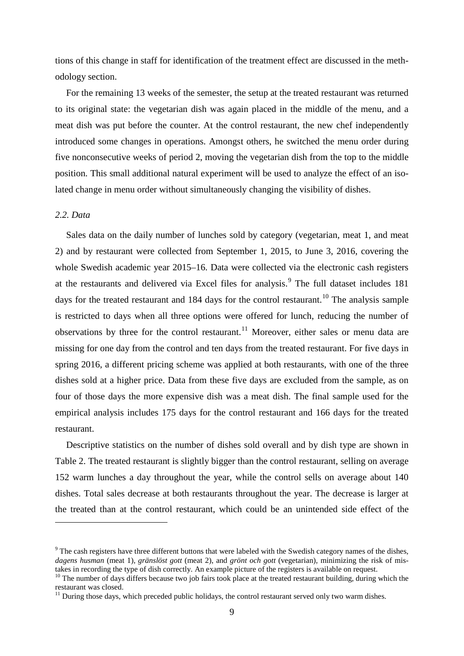tions of this change in staff for identification of the treatment effect are discussed in the methodology section.

For the remaining 13 weeks of the semester, the setup at the treated restaurant was returned to its original state: the vegetarian dish was again placed in the middle of the menu, and a meat dish was put before the counter. At the control restaurant, the new chef independently introduced some changes in operations. Amongst others, he switched the menu order during five nonconsecutive weeks of period 2, moving the vegetarian dish from the top to the middle position. This small additional natural experiment will be used to analyze the effect of an isolated change in menu order without simultaneously changing the visibility of dishes.

#### *2.2. Data*

 $\overline{a}$ 

Sales data on the daily number of lunches sold by category (vegetarian, meat 1, and meat 2) and by restaurant were collected from September 1, 2015, to June 3, 2016, covering the whole Swedish academic year 2015–16. Data were collected via the electronic cash registers at the restaurants and delivered via Excel files for analysis.<sup>[9](#page-9-0)</sup> The full dataset includes 181 days for the treated restaurant and 184 days for the control restaurant.<sup>[10](#page-9-1)</sup> The analysis sample is restricted to days when all three options were offered for lunch, reducing the number of observations by three for the control restaurant.<sup>[11](#page-9-2)</sup> Moreover, either sales or menu data are missing for one day from the control and ten days from the treated restaurant. For five days in spring 2016, a different pricing scheme was applied at both restaurants, with one of the three dishes sold at a higher price. Data from these five days are excluded from the sample, as on four of those days the more expensive dish was a meat dish. The final sample used for the empirical analysis includes 175 days for the control restaurant and 166 days for the treated restaurant.

Descriptive statistics on the number of dishes sold overall and by dish type are shown in [Table 2.](#page-10-0) The treated restaurant is slightly bigger than the control restaurant, selling on average 152 warm lunches a day throughout the year, while the control sells on average about 140 dishes. Total sales decrease at both restaurants throughout the year. The decrease is larger at the treated than at the control restaurant, which could be an unintended side effect of the

<span id="page-9-0"></span><sup>&</sup>lt;sup>9</sup> The cash registers have three different buttons that were labeled with the Swedish category names of the dishes, *dagens husman* (meat 1), *gränslöst gott* (meat 2), and *grönt och gott* (vegetarian), minimizing the risk of mis-<br>takes in recording the type of dish correctly. An example picture of the registers is available on request

<span id="page-9-1"></span><sup>&</sup>lt;sup>10</sup> The number of days differs because two job fairs took place at the treated restaurant building, during which the restaurant was closed.

<span id="page-9-2"></span> $11$  During those days, which preceded public holidays, the control restaurant served only two warm dishes.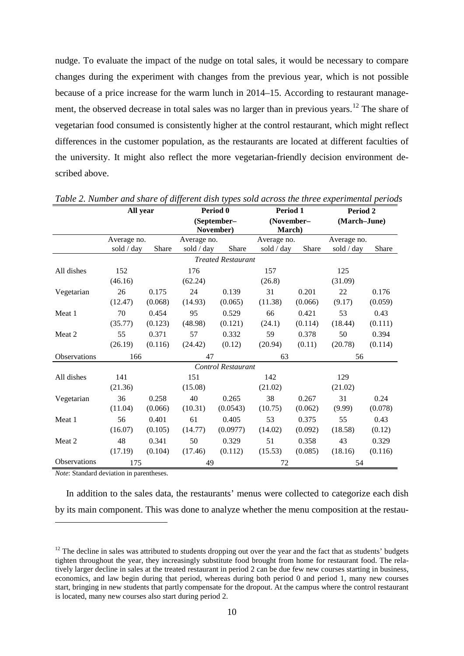nudge. To evaluate the impact of the nudge on total sales, it would be necessary to compare changes during the experiment with changes from the previous year, which is not possible because of a price increase for the warm lunch in 2014–15. According to restaurant manage-ment, the observed decrease in total sales was no larger than in previous years.<sup>[12](#page-10-1)</sup> The share of vegetarian food consumed is consistently higher at the control restaurant, which might reflect differences in the customer population, as the restaurants are located at different faculties of the university. It might also reflect the more vegetarian-friendly decision environment described above.

|                                                                                                  | All year    |              | Period 0    |                           | Period 1    |         | Period 2     |         |
|--------------------------------------------------------------------------------------------------|-------------|--------------|-------------|---------------------------|-------------|---------|--------------|---------|
|                                                                                                  |             |              | (September– |                           | (November-  |         | (March-June) |         |
|                                                                                                  |             |              | November)   |                           | March)      |         |              |         |
|                                                                                                  | Average no. |              | Average no. |                           | Average no. |         | Average no.  |         |
|                                                                                                  | sold / day  | Share        | sold / day  | Share                     | sold / day  | Share   | sold $/$ day | Share   |
|                                                                                                  |             |              |             | <b>Treated Restaurant</b> |             |         |              |         |
| All dishes                                                                                       | 152         |              | 176         |                           | 157         |         | 125          |         |
|                                                                                                  | (46.16)     |              | (62.24)     |                           | (26.8)      |         | (31.09)      |         |
| Vegetarian                                                                                       | 26          | 0.175        | 24          | 0.139                     | 31          | 0.201   | 22           | 0.176   |
|                                                                                                  | (12.47)     | (0.068)      | (14.93)     | (0.065)                   | (11.38)     | (0.066) | (9.17)       | (0.059) |
| Meat 1                                                                                           | 70          | 0.454        | 95          | 0.529                     | 66          | 0.421   | 53           | 0.43    |
|                                                                                                  | (35.77)     | (0.123)      | (48.98)     | (0.121)                   | (24.1)      | (0.114) | (18.44)      | (0.111) |
| Meat 2                                                                                           | 55          | 0.371        | 57          | 0.332                     | 59          | 0.378   | 50           | 0.394   |
|                                                                                                  | (26.19)     | (0.116)      | (24.42)     | (0.12)                    | (20.94)     | (0.11)  | (20.78)      | (0.114) |
| <b>Observations</b>                                                                              | 166         |              | 47          |                           | 63          |         | 56           |         |
|                                                                                                  |             |              |             | Control Restaurant        |             |         |              |         |
| All dishes                                                                                       | 141         |              | 151         |                           | 142         |         | 129          |         |
|                                                                                                  | (21.36)     |              | (15.08)     |                           | (21.02)     |         | (21.02)      |         |
| Vegetarian                                                                                       | 36          | 0.258        | 40          | 0.265                     | 38          | 0.267   | 31           | 0.24    |
|                                                                                                  | (11.04)     | (0.066)      | (10.31)     | (0.0543)                  | (10.75)     | (0.062) | (9.99)       | (0.078) |
| Meat 1                                                                                           | 56          | 0.401        | 61          | 0.405                     | 53          | 0.375   | 55           | 0.43    |
|                                                                                                  | (16.07)     | (0.105)      | (14.77)     | (0.0977)                  | (14.02)     | (0.092) | (18.58)      | (0.12)  |
| Meat 2                                                                                           | 48          | 0.341        | 50          | 0.329                     | 51          | 0.358   | 43           | 0.329   |
|                                                                                                  | (17.19)     | (0.104)      | (17.46)     | (0.112)                   | (15.53)     | (0.085) | (18.16)      | (0.116) |
| Observations<br>$\mathbf{M}$ and $\mathbf{M}$ and $\mathbf{M}$ and $\mathbf{M}$ and $\mathbf{M}$ | 175         | $\mathbf{1}$ | 49          |                           | 72          |         | 54           |         |

<span id="page-10-0"></span>*Table 2. Number and share of different dish types sold across the three experimental periods*

*Note*: Standard deviation in parentheses.

 $\overline{a}$ 

In addition to the sales data, the restaurants' menus were collected to categorize each dish by its main component. This was done to analyze whether the menu composition at the restau-

<span id="page-10-1"></span> $12$  The decline in sales was attributed to students dropping out over the year and the fact that as students' budgets tighten throughout the year, they increasingly substitute food brought from home for restaurant food. The relatively larger decline in sales at the treated restaurant in period 2 can be due few new courses starting in business, economics, and law begin during that period, whereas during both period 0 and period 1, many new courses start, bringing in new students that partly compensate for the dropout. At the campus where the control restaurant is located, many new courses also start during period 2.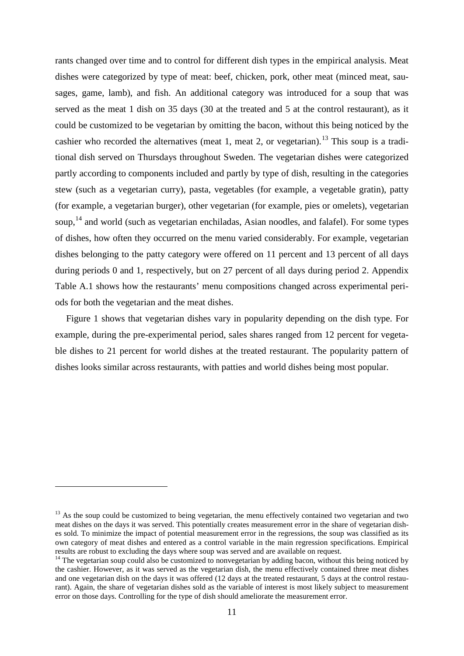rants changed over time and to control for different dish types in the empirical analysis. Meat dishes were categorized by type of meat: beef, chicken, pork, other meat (minced meat, sausages, game, lamb), and fish. An additional category was introduced for a soup that was served as the meat 1 dish on 35 days (30 at the treated and 5 at the control restaurant), as it could be customized to be vegetarian by omitting the bacon, without this being noticed by the cashier who recorded the alternatives (meat 1, meat 2, or vegetarian).<sup>[13](#page-11-0)</sup> This soup is a traditional dish served on Thursdays throughout Sweden. The vegetarian dishes were categorized partly according to components included and partly by type of dish, resulting in the categories stew (such as a vegetarian curry), pasta, vegetables (for example, a vegetable gratin), patty (for example, a vegetarian burger), other vegetarian (for example, pies or omelets), vegetarian soup,<sup>[14](#page-11-1)</sup> and world (such as vegetarian enchiladas, Asian noodles, and falafel). For some types of dishes, how often they occurred on the menu varied considerably. For example, vegetarian dishes belonging to the patty category were offered on 11 percent and 13 percent of all days during periods 0 and 1, respectively, but on 27 percent of all days during period 2. Appendix [Table A.1](#page-41-0) shows how the restaurants' menu compositions changed across experimental periods for both the vegetarian and the meat dishes.

[Figure 1](#page-12-0) shows that vegetarian dishes vary in popularity depending on the dish type. For example, during the pre-experimental period, sales shares ranged from 12 percent for vegetable dishes to 21 percent for world dishes at the treated restaurant. The popularity pattern of dishes looks similar across restaurants, with patties and world dishes being most popular.

<span id="page-11-0"></span><sup>&</sup>lt;sup>13</sup> As the soup could be customized to being vegetarian, the menu effectively contained two vegetarian and two meat dishes on the days it was served. This potentially creates measurement error in the share of vegetarian dishes sold. To minimize the impact of potential measurement error in the regressions, the soup was classified as its own category of meat dishes and entered as a control variable in the main regression specifications. Empirical results are robust to excluding the days where soup was served and are available on request.

<span id="page-11-1"></span> $14$  The vegetarian soup could also be customized to nonvegetarian by adding bacon, without this being noticed by the cashier. However, as it was served as the vegetarian dish, the menu effectively contained three meat dishes and one vegetarian dish on the days it was offered (12 days at the treated restaurant, 5 days at the control restaurant). Again, the share of vegetarian dishes sold as the variable of interest is most likely subject to measurement error on those days. Controlling for the type of dish should ameliorate the measurement error.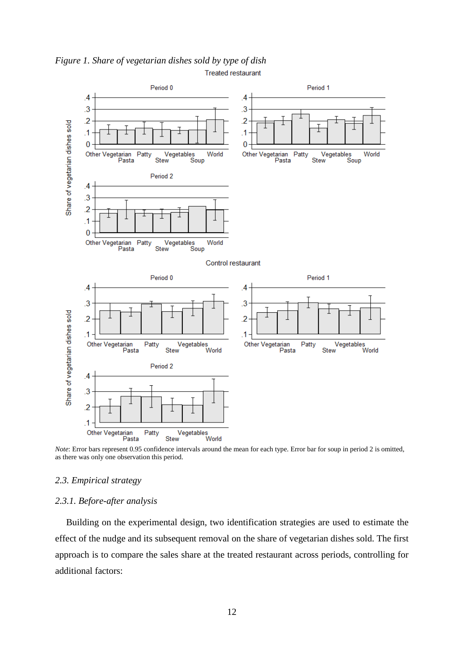<span id="page-12-0"></span>



*Note*: Error bars represent 0.95 confidence intervals around the mean for each type. Error bar for soup in period 2 is omitted, as there was only one observation this period.

#### *2.3. Empirical strategy*

#### *2.3.1. Before-after analysis*

Building on the experimental design, two identification strategies are used to estimate the effect of the nudge and its subsequent removal on the share of vegetarian dishes sold. The first approach is to compare the sales share at the treated restaurant across periods, controlling for additional factors: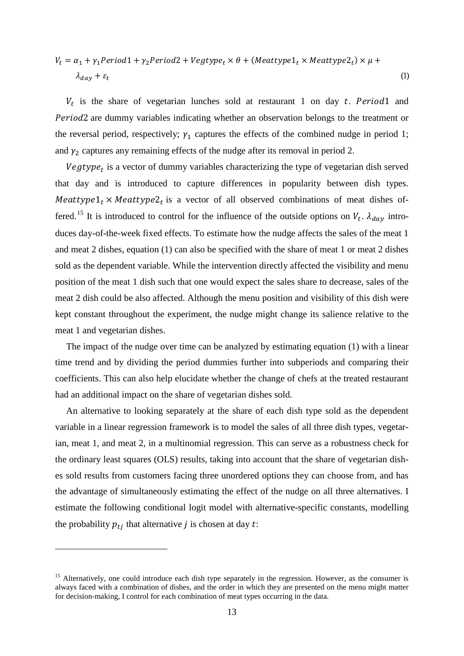# $V_t = \alpha_1 + \gamma_1 Period1 + \gamma_2 Period2 + Vegtype_t \times \theta + (Meattype1_t \times Meattype2_t) \times \mu +$  $\lambda_{day} + \varepsilon_t$  (1)

 $V_t$  is the share of vegetarian lunches sold at restaurant 1 on day t. Period1 and Period2 are dummy variables indicating whether an observation belongs to the treatment or the reversal period, respectively;  $\gamma_1$  captures the effects of the combined nudge in period 1; and  $\gamma_2$  captures any remaining effects of the nudge after its removal in period 2.

 $V$ egtype<sub>t</sub> is a vector of dummy variables characterizing the type of vegetarian dish served that day and is introduced to capture differences in popularity between dish types. *Meattype* $1_t$  × *Meattype* $2_t$  is a vector of all observed combinations of meat dishes of-fered.<sup>[15](#page-13-0)</sup> It is introduced to control for the influence of the outside options on  $V_t$ .  $\lambda_{day}$  introduces day-of-the-week fixed effects. To estimate how the nudge affects the sales of the meat 1 and meat 2 dishes, equation (1) can also be specified with the share of meat 1 or meat 2 dishes sold as the dependent variable. While the intervention directly affected the visibility and menu position of the meat 1 dish such that one would expect the sales share to decrease, sales of the meat 2 dish could be also affected. Although the menu position and visibility of this dish were kept constant throughout the experiment, the nudge might change its salience relative to the meat 1 and vegetarian dishes.

The impact of the nudge over time can be analyzed by estimating equation (1) with a linear time trend and by dividing the period dummies further into subperiods and comparing their coefficients. This can also help elucidate whether the change of chefs at the treated restaurant had an additional impact on the share of vegetarian dishes sold.

An alternative to looking separately at the share of each dish type sold as the dependent variable in a linear regression framework is to model the sales of all three dish types, vegetarian, meat 1, and meat 2, in a multinomial regression. This can serve as a robustness check for the ordinary least squares (OLS) results, taking into account that the share of vegetarian dishes sold results from customers facing three unordered options they can choose from, and has the advantage of simultaneously estimating the effect of the nudge on all three alternatives. I estimate the following conditional logit model with alternative-specific constants, modelling the probability  $p_{ti}$  that alternative *j* is chosen at day *t*:

<span id="page-13-0"></span><sup>&</sup>lt;sup>15</sup> Alternatively, one could introduce each dish type separately in the regression. However, as the consumer is always faced with a combination of dishes, and the order in which they are presented on the menu might matter for decision-making, I control for each combination of meat types occurring in the data.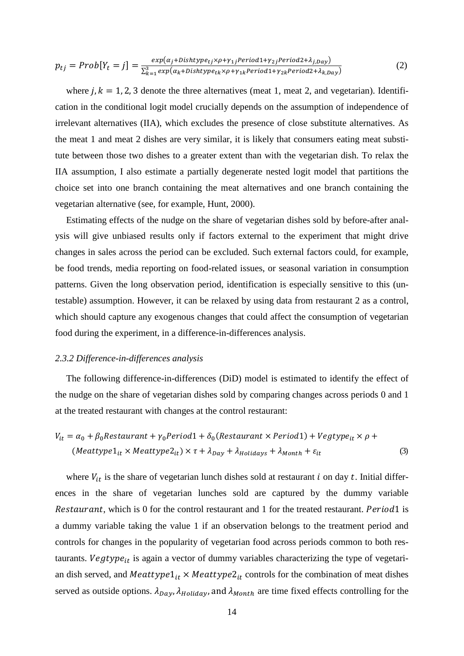$$
p_{tj} = Prob[Y_t = j] = \frac{exp(\alpha_j + Disttype_{tj} \times \rho + \gamma_{1j} Period1 + \gamma_{2j} Period2 + \lambda_{j,Day})}{\sum_{k=1}^{3} exp(\alpha_k + Disttype_{tk} \times \rho + \gamma_{1k} Period1 + \gamma_{2k} Period2 + \lambda_{k,Day})}
$$
(2)

where  $j, k = 1, 2, 3$  denote the three alternatives (meat 1, meat 2, and vegetarian). Identification in the conditional logit model crucially depends on the assumption of independence of irrelevant alternatives (IIA), which excludes the presence of close substitute alternatives. As the meat 1 and meat 2 dishes are very similar, it is likely that consumers eating meat substitute between those two dishes to a greater extent than with the vegetarian dish. To relax the IIA assumption, I also estimate a partially degenerate nested logit model that partitions the choice set into one branch containing the meat alternatives and one branch containing the vegetarian alternative (see, for example, Hunt, 2000).

Estimating effects of the nudge on the share of vegetarian dishes sold by before-after analysis will give unbiased results only if factors external to the experiment that might drive changes in sales across the period can be excluded. Such external factors could, for example, be food trends, media reporting on food-related issues, or seasonal variation in consumption patterns. Given the long observation period, identification is especially sensitive to this (untestable) assumption. However, it can be relaxed by using data from restaurant 2 as a control, which should capture any exogenous changes that could affect the consumption of vegetarian food during the experiment, in a difference-in-differences analysis.

#### *2.3.2 Difference-in-differences analysis*

The following difference-in-differences (DiD) model is estimated to identify the effect of the nudge on the share of vegetarian dishes sold by comparing changes across periods 0 and 1 at the treated restaurant with changes at the control restaurant:

$$
V_{it} = \alpha_0 + \beta_0 Restaurant + \gamma_0 Period1 + \delta_0 (Restaurant \times Period1) + Vegtype_{it} \times \rho +
$$
  
(Meattype1<sub>it</sub> × Meattype2<sub>it</sub>) × τ +  $\lambda_{Day} + \lambda_{Holidays} + \lambda_{Month} + \varepsilon_{it}$  (3)

where  $V_{it}$  is the share of vegetarian lunch dishes sold at restaurant i on day t. Initial differences in the share of vegetarian lunches sold are captured by the dummy variable Restaurant, which is 0 for the control restaurant and 1 for the treated restaurant. Period1 is a dummy variable taking the value 1 if an observation belongs to the treatment period and controls for changes in the popularity of vegetarian food across periods common to both restaurants. Vegtype $_{it}$  is again a vector of dummy variables characterizing the type of vegetarian dish served, and Meattype  $1_{it} \times Meattype2_{it}$  controls for the combination of meat dishes served as outside options.  $\lambda_{Day}$ ,  $\lambda_{Holiday}$ , and  $\lambda_{Month}$  are time fixed effects controlling for the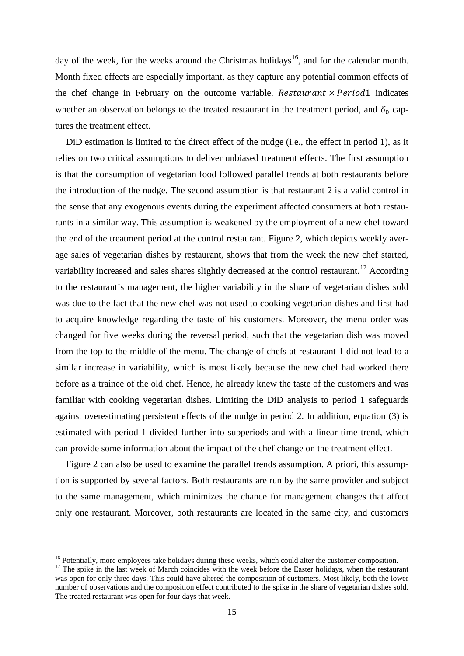day of the week, for the weeks around the Christmas holidays<sup>16</sup>, and for the calendar month. Month fixed effects are especially important, as they capture any potential common effects of the chef change in February on the outcome variable.  $Restaurant \times Period1$  indicates whether an observation belongs to the treated restaurant in the treatment period, and  $\delta_0$  captures the treatment effect.

DiD estimation is limited to the direct effect of the nudge (i.e., the effect in period 1), as it relies on two critical assumptions to deliver unbiased treatment effects. The first assumption is that the consumption of vegetarian food followed parallel trends at both restaurants before the introduction of the nudge. The second assumption is that restaurant 2 is a valid control in the sense that any exogenous events during the experiment affected consumers at both restaurants in a similar way. This assumption is weakened by the employment of a new chef toward the end of the treatment period at the control restaurant. [Figure 2,](#page-16-0) which depicts weekly average sales of vegetarian dishes by restaurant, shows that from the week the new chef started, variability increased and sales shares slightly decreased at the control restaurant.<sup>[17](#page-15-1)</sup> According to the restaurant's management, the higher variability in the share of vegetarian dishes sold was due to the fact that the new chef was not used to cooking vegetarian dishes and first had to acquire knowledge regarding the taste of his customers. Moreover, the menu order was changed for five weeks during the reversal period, such that the vegetarian dish was moved from the top to the middle of the menu. The change of chefs at restaurant 1 did not lead to a similar increase in variability, which is most likely because the new chef had worked there before as a trainee of the old chef. Hence, he already knew the taste of the customers and was familiar with cooking vegetarian dishes. Limiting the DiD analysis to period 1 safeguards against overestimating persistent effects of the nudge in period 2. In addition, equation (3) is estimated with period 1 divided further into subperiods and with a linear time trend, which can provide some information about the impact of the chef change on the treatment effect.

[Figure 2](#page-16-0) can also be used to examine the parallel trends assumption. A priori, this assumption is supported by several factors. Both restaurants are run by the same provider and subject to the same management, which minimizes the chance for management changes that affect only one restaurant. Moreover, both restaurants are located in the same city, and customers

<span id="page-15-0"></span><sup>&</sup>lt;sup>16</sup> Potentially, more employees take holidays during these weeks, which could alter the customer composition. <sup>17</sup> The spike in the last week of March coincides with the week before the Easter holidays, when the restaura

<span id="page-15-1"></span>was open for only three days. This could have altered the composition of customers. Most likely, both the lower number of observations and the composition effect contributed to the spike in the share of vegetarian dishes sold. The treated restaurant was open for four days that week.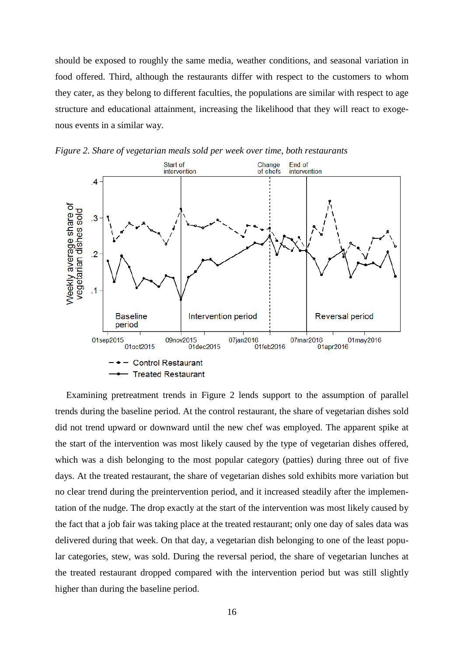should be exposed to roughly the same media, weather conditions, and seasonal variation in food offered. Third, although the restaurants differ with respect to the customers to whom they cater, as they belong to different faculties, the populations are similar with respect to age structure and educational attainment, increasing the likelihood that they will react to exogenous events in a similar way.



<span id="page-16-0"></span>*Figure 2. Share of vegetarian meals sold per week over time, both restaurants*

Examining pretreatment trends in [Figure 2](#page-16-0) lends support to the assumption of parallel trends during the baseline period. At the control restaurant, the share of vegetarian dishes sold did not trend upward or downward until the new chef was employed. The apparent spike at the start of the intervention was most likely caused by the type of vegetarian dishes offered, which was a dish belonging to the most popular category (patties) during three out of five days. At the treated restaurant, the share of vegetarian dishes sold exhibits more variation but no clear trend during the preintervention period, and it increased steadily after the implementation of the nudge. The drop exactly at the start of the intervention was most likely caused by the fact that a job fair was taking place at the treated restaurant; only one day of sales data was delivered during that week. On that day, a vegetarian dish belonging to one of the least popular categories, stew, was sold. During the reversal period, the share of vegetarian lunches at the treated restaurant dropped compared with the intervention period but was still slightly higher than during the baseline period.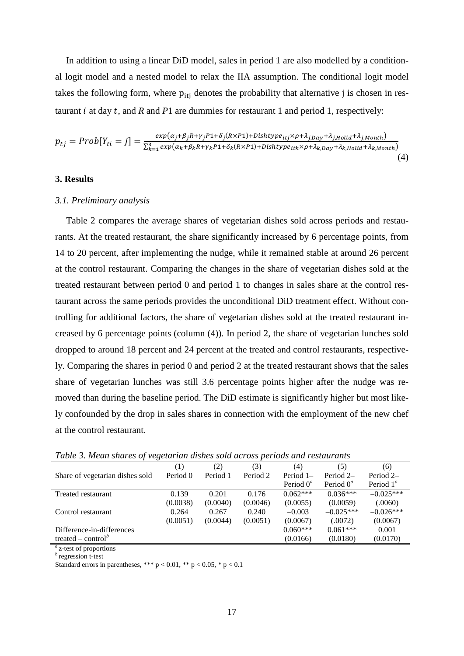In addition to using a linear DiD model, sales in period 1 are also modelled by a conditional logit model and a nested model to relax the IIA assumption. The conditional logit model takes the following form, where  $p_{itj}$  denotes the probability that alternative j is chosen in restaurant  $i$  at day  $t$ , and  $R$  and  $P1$  are dummies for restaurant 1 and period 1, respectively:

$$
p_{tj} = Prob[Y_{ti} = j] = \frac{exp(\alpha_j + \beta_j R + \gamma_j P1 + \delta_j (R \times P1) + Distype_{tij} \times \rho + \lambda_{j,Day} + \lambda_{j,Roll} + \lambda_{j,Month})}{\sum_{k=1}^{3} exp(\alpha_k + \beta_k R + \gamma_k P1 + \delta_k (R \times P1) + Distype_{itk} \times \rho + \lambda_{k,Day} + \lambda_{k,Relid} + \lambda_{k,Month})}
$$
\n(4)

#### **3. Results**

#### *3.1. Preliminary analysis*

[Table 2](#page-10-0) compares the average shares of vegetarian dishes sold across periods and restaurants. At the treated restaurant, the share significantly increased by 6 percentage points, from 14 to 20 percent, after implementing the nudge, while it remained stable at around 26 percent at the control restaurant. Comparing the changes in the share of vegetarian dishes sold at the treated restaurant between period 0 and period 1 to changes in sales share at the control restaurant across the same periods provides the unconditional DiD treatment effect. Without controlling for additional factors, the share of vegetarian dishes sold at the treated restaurant increased by 6 percentage points (column (4)). In period 2, the share of vegetarian lunches sold dropped to around 18 percent and 24 percent at the treated and control restaurants, respectively. Comparing the shares in period 0 and period 2 at the treated restaurant shows that the sales share of vegetarian lunches was still 3.6 percentage points higher after the nudge was removed than during the baseline period. The DiD estimate is significantly higher but most likely confounded by the drop in sales shares in connection with the employment of the new chef at the control restaurant.

|                                 | (1)      | (2)      | (3)      | (4)          | (5)          | (6)          |
|---------------------------------|----------|----------|----------|--------------|--------------|--------------|
| Share of vegetarian dishes sold | Period 0 | Period 1 | Period 2 | Period 1-    | Period 2-    | Period 2-    |
|                                 |          |          |          | Period $0^a$ | Period $0^a$ | Period $1^a$ |
| Treated restaurant              | 0.139    | 0.201    | 0.176    | $0.062***$   | $0.036***$   | $-0.025***$  |
|                                 | (0.0038) | (0.0040) | (0.0046) | (0.0055)     | (0.0059)     | (.0060)      |
| Control restaurant              | 0.264    | 0.267    | 0.240    | $-0.003$     | $-0.025***$  | $-0.026***$  |
|                                 | (0.0051) | (0.0044) | (0.0051) | (0.0067)     | (.0072)      | (0.0067)     |
| Difference-in-differences       |          |          |          | $0.060***$   | $0.061***$   | 0.001        |
| treated – $control^b$           |          |          |          | (0.0166)     | (0.0180)     | (0.0170)     |

*Table 3. Mean shares of vegetarian dishes sold across periods and restaurants*

*<sup>a</sup>* z-test of proportions *<sup>b</sup>* regression t-test

Standard errors in parentheses, \*\*\*  $p < 0.01$ , \*\*  $p < 0.05$ , \*  $p < 0.1$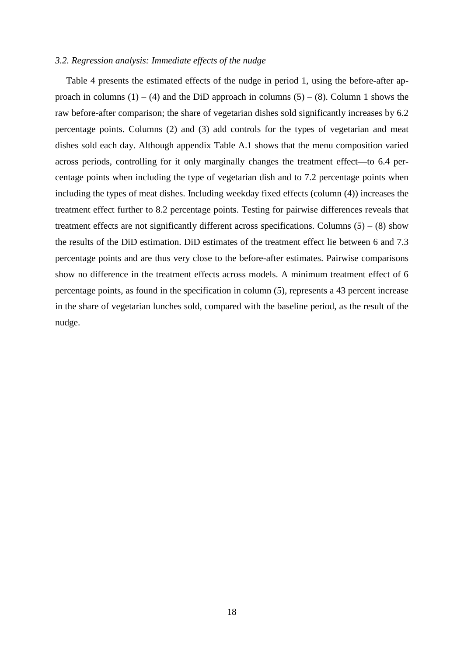#### *3.2. Regression analysis: Immediate effects of the nudge*

[Table 4](#page-19-0) presents the estimated effects of the nudge in period 1, using the before-after approach in columns  $(1) - (4)$  and the DiD approach in columns  $(5) - (8)$ . Column 1 shows the raw before-after comparison; the share of vegetarian dishes sold significantly increases by 6.2 percentage points. Columns (2) and (3) add controls for the types of vegetarian and meat dishes sold each day. Although appendix [Table A.1](#page-41-0) shows that the menu composition varied across periods, controlling for it only marginally changes the treatment effect—to 6.4 percentage points when including the type of vegetarian dish and to 7.2 percentage points when including the types of meat dishes. Including weekday fixed effects (column (4)) increases the treatment effect further to 8.2 percentage points. Testing for pairwise differences reveals that treatment effects are not significantly different across specifications. Columns  $(5) - (8)$  show the results of the DiD estimation. DiD estimates of the treatment effect lie between 6 and 7.3 percentage points and are thus very close to the before-after estimates. Pairwise comparisons show no difference in the treatment effects across models. A minimum treatment effect of 6 percentage points, as found in the specification in column (5), represents a 43 percent increase in the share of vegetarian lunches sold, compared with the baseline period, as the result of the nudge.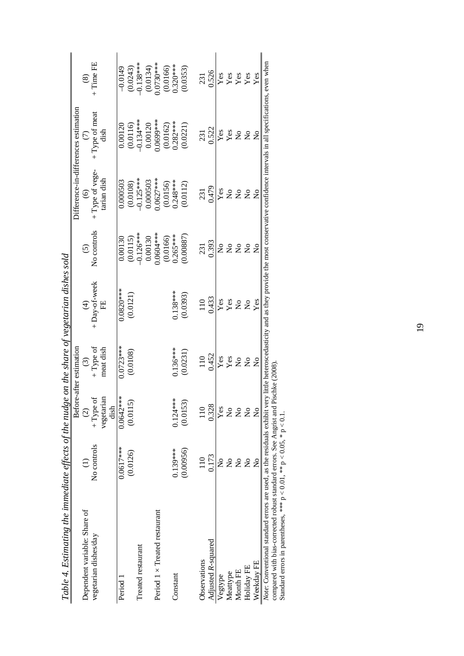| <b>Table <math>4</math>.</b> Estimating the timinediate effects of the madge on the snarre of vegetarian atsines sold                                                                                                                                                                                        |                               |                               |                           |                     |                           |                           |                                      |                |
|--------------------------------------------------------------------------------------------------------------------------------------------------------------------------------------------------------------------------------------------------------------------------------------------------------------|-------------------------------|-------------------------------|---------------------------|---------------------|---------------------------|---------------------------|--------------------------------------|----------------|
|                                                                                                                                                                                                                                                                                                              |                               |                               | Before-after estimation   |                     |                           |                           | Difference-in-differences estimation |                |
| Dependent variable: Share of                                                                                                                                                                                                                                                                                 |                               | $\widehat{c}$                 | $\odot$                   | $\hat{\mathcal{F}}$ | $\widetilde{S}$           | $\odot$                   | $\widehat{\in}$                      | $\circledast$  |
| vegetarian dishes/day                                                                                                                                                                                                                                                                                        | No controls                   | + Type of                     | + Type of                 | + Day-of-week       | No controls               | + Type of vege-           | + Type of meat                       | + Time FE      |
|                                                                                                                                                                                                                                                                                                              |                               | vegetarian<br>dish            | meat dish                 | 田                   |                           | tarian dish               | dish                                 |                |
| Period 1                                                                                                                                                                                                                                                                                                     | $0.0617***$                   | $0.0642***$                   | $0.0723***$               | $0.0820***$         | 0.00130                   | 0.000503                  | 0.00120                              | $-0.0149$      |
|                                                                                                                                                                                                                                                                                                              | (0.0126)                      | (0.0115)                      | (0.0108)                  | (0.0121)            | (0.0115)                  | (0.0108)                  | (0.0116)                             | (0.0243)       |
| Treated restaurant                                                                                                                                                                                                                                                                                           |                               |                               |                           |                     | $-0.126***$               | $-0.125***$               | $-0.134***$                          | $-0.138***$    |
|                                                                                                                                                                                                                                                                                                              |                               |                               |                           |                     | 0.00130                   | 0.000503                  | 0.00120                              | (0.0134)       |
| Period $1 \times$ Treated restaurant                                                                                                                                                                                                                                                                         |                               |                               |                           |                     | $0.0604***$               | $0.0627***$               | ****6690                             | $0.0730***$    |
|                                                                                                                                                                                                                                                                                                              |                               |                               |                           |                     | (0.0166)                  | (0.0156)                  | (0.0162)                             | (0.0166)       |
| Constant                                                                                                                                                                                                                                                                                                     | $0.139***$                    | $0.124***$                    | $0.136***$                | $0.138***$          | $0.265***$                | $0.248***$                | $0.282***$                           | $0.320***$     |
|                                                                                                                                                                                                                                                                                                              | (0.00956)                     | (0.0153)                      | (0.0231)                  | (0.0393)            | (0.00887)                 | (0.0112)                  | (0.0221)                             | 0.0353         |
| Observations                                                                                                                                                                                                                                                                                                 | $\Xi$                         | $\frac{1}{10}$                | 110                       | $\frac{10}{10}$     | 231                       | 231                       | 231                                  | 231            |
| Adjusted R-squared                                                                                                                                                                                                                                                                                           | 0.173                         | 0.328                         | 0.452                     | 0.433               | 0.393                     | 0.479                     | 0.522                                | 0.526          |
| Vegtype                                                                                                                                                                                                                                                                                                      | $\tilde{\mathsf{z}}$          | Yes                           | Yes                       | $Y$ es              | $\mathsf{\hat{z}}$        | Yes                       | Yes                                  | Yes            |
| Meattype                                                                                                                                                                                                                                                                                                     | $\frac{1}{2}$                 | $\mathsf{\hat{z}}$            | Yes                       | Yes                 | $\tilde{z}$               | $\overline{a}$            | Yes                                  | Yes            |
| Month FE                                                                                                                                                                                                                                                                                                     | $\frac{1}{2}$                 | $\overset{\circ}{\mathsf{z}}$ | $\mathsf{S}^{\mathsf{O}}$ | $\tilde{z}$         | $\mathsf{S}^{\mathsf{O}}$ | $\mathsf{S}^{\mathsf{o}}$ | $\mathsf{S}^{\mathsf{O}}$            | $\mathbf{Yes}$ |
| Holiday FE                                                                                                                                                                                                                                                                                                   | $\tilde{\mathsf{z}}$          | $\mathsf{S}^{\mathsf{O}}$     | $\mathsf{S}^{\mathsf{O}}$ | $\frac{1}{2}$       | $\frac{1}{2}$             | $\tilde{z}$               | $\mathsf{S}^{\mathsf{o}}$            | Yes            |
| Weekday FE                                                                                                                                                                                                                                                                                                   | $\mathsf{\overset{\circ}{z}}$ | $\frac{1}{2}$                 | $\mathsf{S}^{\mathsf{o}}$ | $Y$ es              | $\frac{1}{2}$             | $\frac{1}{2}$             | $\frac{1}{2}$                        | Yes            |
| Note: Conventional standard errors are used, as the residuals exhibit very little heteroscedasticity and as they provide the most conservative confidence intervals in all specifications, even when<br>common and this his common and interest and all comes are and the contract of the district of $\sim$ |                               |                               |                           |                     |                           |                           |                                      |                |

<span id="page-19-0"></span>Table 4. Estimating the immediate effects of the nudge on the share of vegetarian dishes sold *Table 4. Estimating the immediate effects of the nudge on the share of vegetarian dishes sold*

compared with bias-corrected robust standard errors. See Angrist and Pischke (2008).<br>Standard errors in parentheses, \*\*\* p < 0.01, \*\* p < 0.05, \* p < 0.1. compared with bias-corrected robust standard errors. See Angrist and Pischke (2008).

Standard errors in parentheses, \*\*\*  $p < 0.01$ , \*\*  $p < 0.05$ , \*  $p < 0.1$ .

19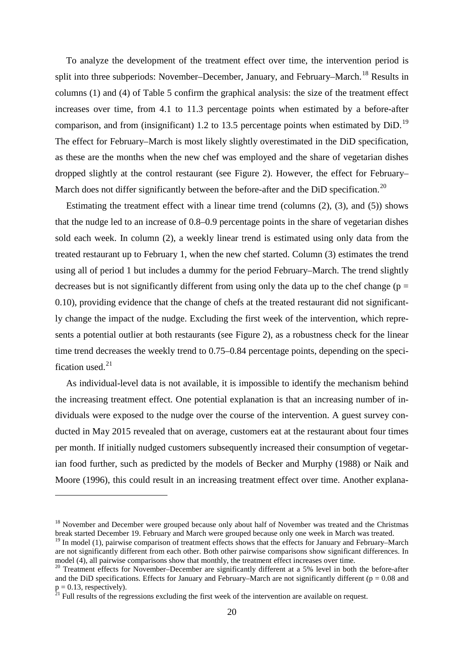To analyze the development of the treatment effect over time, the intervention period is split into three subperiods: November–December, January, and February–March.<sup>[18](#page-20-0)</sup> Results in columns (1) and (4) of [Table 5](#page-21-0) confirm the graphical analysis: the size of the treatment effect increases over time, from 4.1 to 11.3 percentage points when estimated by a before-after comparison, and from (insignificant) 1.2 to 13.5 percentage points when estimated by  $DiD$ .<sup>[19](#page-20-1)</sup> The effect for February–March is most likely slightly overestimated in the DiD specification, as these are the months when the new chef was employed and the share of vegetarian dishes dropped slightly at the control restaurant (see [Figure 2\)](#page-16-0). However, the effect for February– March does not differ significantly between the before-after and the DiD specification.<sup>[20](#page-20-2)</sup>

Estimating the treatment effect with a linear time trend (columns  $(2)$ ,  $(3)$ , and  $(5)$ ) shows that the nudge led to an increase of 0.8–0.9 percentage points in the share of vegetarian dishes sold each week. In column (2), a weekly linear trend is estimated using only data from the treated restaurant up to February 1, when the new chef started. Column (3) estimates the trend using all of period 1 but includes a dummy for the period February–March. The trend slightly decreases but is not significantly different from using only the data up to the chef change ( $p =$ 0.10), providing evidence that the change of chefs at the treated restaurant did not significantly change the impact of the nudge. Excluding the first week of the intervention, which represents a potential outlier at both restaurants (see [Figure 2\)](#page-16-0), as a robustness check for the linear time trend decreases the weekly trend to 0.75–0.84 percentage points, depending on the speci-fication used.<sup>[21](#page-20-3)</sup>

As individual-level data is not available, it is impossible to identify the mechanism behind the increasing treatment effect. One potential explanation is that an increasing number of individuals were exposed to the nudge over the course of the intervention. A guest survey conducted in May 2015 revealed that on average, customers eat at the restaurant about four times per month. If initially nudged customers subsequently increased their consumption of vegetarian food further, such as predicted by the models of Becker and Murphy (1988) or Naik and Moore (1996), this could result in an increasing treatment effect over time. Another explana-

<span id="page-20-0"></span><sup>&</sup>lt;sup>18</sup> November and December were grouped because only about half of November was treated and the Christmas break started December 19. February and March were grouped because only one week in March was treated.

<span id="page-20-1"></span><sup>&</sup>lt;sup>19</sup> In model (1), pairwise comparison of treatment effects shows that the effects for January and February–March are not significantly different from each other. Both other pairwise comparisons show significant differences. In model (4), all pairwise comparisons show that monthly, the treatment effect increases over time.

<span id="page-20-2"></span> $20$  Treatment effects for November–December are significantly different at a 5% level in both the before-after and the DiD specifications. Effects for January and February–March are not significantly different ( $p = 0.08$  and  $p = 0.13$ , respectively).

<span id="page-20-3"></span><sup>&</sup>lt;sup>21</sup> Full results of the regressions excluding the first week of the intervention are available on request.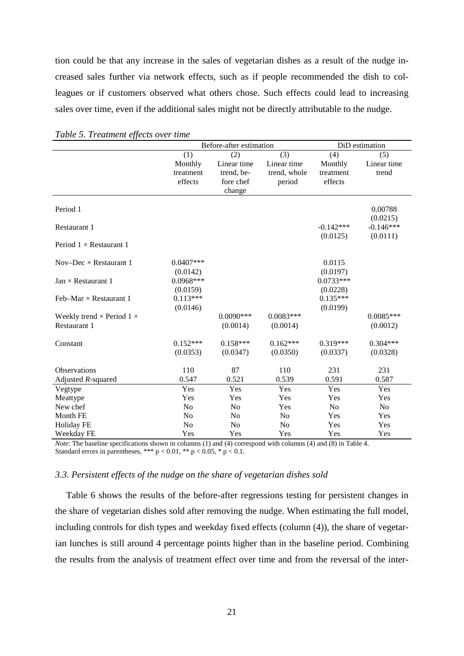tion could be that any increase in the sales of vegetarian dishes as a result of the nudge increased sales further via network effects, such as if people recommended the dish to colleagues or if customers observed what others chose. Such effects could lead to increasing sales over time, even if the additional sales might not be directly attributable to the nudge.

| radio 9. Freamient effects over time    |             | Before-after estimation |                |                | DiD estimation |
|-----------------------------------------|-------------|-------------------------|----------------|----------------|----------------|
|                                         |             |                         |                |                |                |
|                                         | (1)         | (2)                     | (3)            | (4)            | (5)            |
|                                         | Monthly     | Linear time             | Linear time    | Monthly        | Linear time    |
|                                         | treatment   | trend, be-              | trend, whole   | treatment      | trend          |
|                                         | effects     | fore chef               | period         | effects        |                |
|                                         |             | change                  |                |                |                |
| Period 1                                |             |                         |                |                | 0.00788        |
|                                         |             |                         |                |                | (0.0215)       |
| Restaurant 1                            |             |                         |                | $-0.142***$    | $-0.146***$    |
|                                         |             |                         |                | (0.0125)       | (0.0111)       |
| Period $1 \times$ Restaurant 1          |             |                         |                |                |                |
| Nov-Dec $\times$ Restaurant 1           | $0.0407***$ |                         |                | 0.0115         |                |
|                                         | (0.0142)    |                         |                | (0.0197)       |                |
| Jan $\times$ Restaurant 1               | $0.0968***$ |                         |                | $0.0733***$    |                |
|                                         | (0.0159)    |                         |                | (0.0228)       |                |
| Feb-Mar $\times$ Restaurant 1           | $0.113***$  |                         |                | $0.135***$     |                |
|                                         | (0.0146)    |                         |                | (0.0199)       |                |
| Weekly trend $\times$ Period 1 $\times$ |             | $0.0090***$             | $0.0083***$    |                | $0.0085***$    |
| Restaurant 1                            |             | (0.0014)                | (0.0014)       |                | (0.0012)       |
|                                         |             |                         |                |                |                |
| Constant                                | $0.152***$  | $0.158***$              | $0.162***$     | $0.319***$     | $0.304***$     |
|                                         | (0.0353)    | (0.0347)                | (0.0350)       | (0.0337)       | (0.0328)       |
|                                         |             |                         |                |                |                |
| <b>Observations</b>                     | 110         | 87                      | 110            | 231            | 231            |
| Adjusted $R$ -squared                   | 0.547       | 0.521                   | 0.539          | 0.591          | 0.587          |
| Vegtype                                 | Yes         | Yes                     | Yes            | Yes            | Yes            |
| Meattype                                | Yes         | Yes                     | Yes            | Yes            | Yes            |
| New chef                                | No          | N <sub>o</sub>          | Yes            | N <sub>o</sub> | N <sub>o</sub> |
| Month FE                                | No          | N <sub>o</sub>          | No             | Yes            | Yes            |
| <b>Holiday FE</b>                       | No          | N <sub>o</sub>          | N <sub>o</sub> | Yes            | Yes            |
| Weekday FE                              | Yes         | Yes                     | Yes            | Yes            | Yes            |

#### <span id="page-21-0"></span>*Table 5. Treatment effects over time*

*Note*: The baseline specifications shown in columns (1) and (4) correspond with columns (4) and (8) in [Table 4.](#page-19-0) Standard errors in parentheses, \*\*\*  $p < 0.01$ , \*\*  $p < 0.05$ , \*  $p < 0.1$ .

#### *3.3. Persistent effects of the nudge on the share of vegetarian dishes sold*

[Table 6](#page-22-0) shows the results of the before-after regressions testing for persistent changes in the share of vegetarian dishes sold after removing the nudge. When estimating the full model, including controls for dish types and weekday fixed effects (column (4)), the share of vegetarian lunches is still around 4 percentage points higher than in the baseline period. Combining the results from the analysis of treatment effect over time and from the reversal of the inter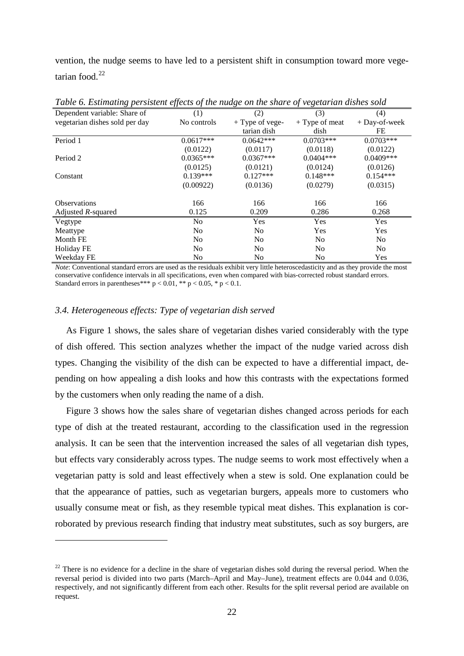vention, the nudge seems to have led to a persistent shift in consumption toward more vegetarian food. $22$ 

| Tubic 0. Estimating persistem effects of the mage on the share of regent tan aisnes sola |                |                   |                  |                 |
|------------------------------------------------------------------------------------------|----------------|-------------------|------------------|-----------------|
| Dependent variable: Share of                                                             | (1)            | (2)               | (3)              | (4)             |
| vegetarian dishes sold per day                                                           | No controls    | $+$ Type of vege- | $+$ Type of meat | $+$ Day-of-week |
|                                                                                          |                | tarian dish       | dish             | FE              |
| Period 1                                                                                 | $0.0617***$    | $0.0642***$       | $0.0703***$      | $0.0703***$     |
|                                                                                          | (0.0122)       | (0.0117)          | (0.0118)         | (0.0122)        |
| Period 2                                                                                 | $0.0365***$    | $0.0367***$       | $0.0404***$      | $0.0409***$     |
|                                                                                          | (0.0125)       | (0.0121)          | (0.0124)         | (0.0126)        |
| Constant                                                                                 | $0.139***$     | $0.127***$        | $0.148***$       | $0.154***$      |
|                                                                                          | (0.00922)      | (0.0136)          | (0.0279)         | (0.0315)        |
| <b>Observations</b>                                                                      | 166            | 166               | 166              | 166             |
| Adjusted $R$ -squared                                                                    | 0.125          | 0.209             | 0.286            | 0.268           |
| Vegtype                                                                                  | N <sub>o</sub> | Yes               | Yes              | Yes             |
| Meattype                                                                                 | N <sub>0</sub> | N <sub>0</sub>    | Yes              | Yes             |
| Month FE                                                                                 | N <sub>0</sub> | N <sub>0</sub>    | N <sub>0</sub>   | No              |
| Holiday FE                                                                               | N <sub>0</sub> | N <sub>o</sub>    | No               | N <sub>o</sub>  |
| Weekday FE                                                                               | No             | No                | No               | Yes             |

<span id="page-22-0"></span>*Table 6. Estimating persistent effects of the nudge on the share of vegetarian dishes sold*

*Note*: Conventional standard errors are used as the residuals exhibit very little heteroscedasticity and as they provide the most conservative confidence intervals in all specifications, even when compared with bias-corrected robust standard errors. Standard errors in parentheses\*\*\*  $p < 0.01$ , \*\*  $p < 0.05$ , \*  $p < 0.1$ .

#### *3.4. Heterogeneous effects: Type of vegetarian dish served*

 $\overline{a}$ 

As [Figure 1](#page-12-0) shows, the sales share of vegetarian dishes varied considerably with the type of dish offered. This section analyzes whether the impact of the nudge varied across dish types. Changing the visibility of the dish can be expected to have a differential impact, depending on how appealing a dish looks and how this contrasts with the expectations formed by the customers when only reading the name of a dish.

[Figure 3](#page-23-0) shows how the sales share of vegetarian dishes changed across periods for each type of dish at the treated restaurant, according to the classification used in the regression analysis. It can be seen that the intervention increased the sales of all vegetarian dish types, but effects vary considerably across types. The nudge seems to work most effectively when a vegetarian patty is sold and least effectively when a stew is sold. One explanation could be that the appearance of patties, such as vegetarian burgers, appeals more to customers who usually consume meat or fish, as they resemble typical meat dishes. This explanation is corroborated by previous research finding that industry meat substitutes, such as soy burgers, are

<span id="page-22-1"></span> $22$  There is no evidence for a decline in the share of vegetarian dishes sold during the reversal period. When the reversal period is divided into two parts (March–April and May–June), treatment effects are 0.044 and 0.036, respectively, and not significantly different from each other. Results for the split reversal period are available on request.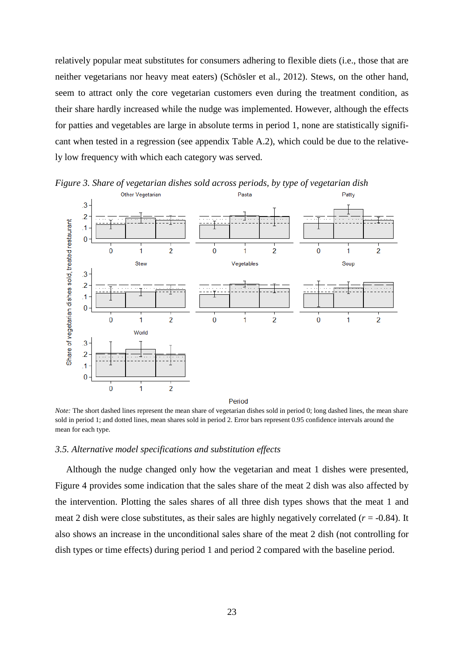relatively popular meat substitutes for consumers adhering to flexible diets (i.e., those that are neither vegetarians nor heavy meat eaters) (Schösler et al., 2012). Stews, on the other hand, seem to attract only the core vegetarian customers even during the treatment condition, as their share hardly increased while the nudge was implemented. However, although the effects for patties and vegetables are large in absolute terms in period 1, none are statistically significant when tested in a regression (see appendix [Table A.2\)](#page-42-0), which could be due to the relatively low frequency with which each category was served.



<span id="page-23-0"></span>*Figure 3. Share of vegetarian dishes sold across periods, by type of vegetarian dish*

*Note:* The short dashed lines represent the mean share of vegetarian dishes sold in period 0; long dashed lines, the mean share sold in period 1; and dotted lines, mean shares sold in period 2. Error bars represent 0.95 confidence intervals around the mean for each type.

#### *3.5. Alternative model specifications and substitution effects*

Although the nudge changed only how the vegetarian and meat 1 dishes were presented, [Figure 4](#page-24-0) provides some indication that the sales share of the meat 2 dish was also affected by the intervention. Plotting the sales shares of all three dish types shows that the meat 1 and meat 2 dish were close substitutes, as their sales are highly negatively correlated  $(r = -0.84)$ . It also shows an increase in the unconditional sales share of the meat 2 dish (not controlling for dish types or time effects) during period 1 and period 2 compared with the baseline period.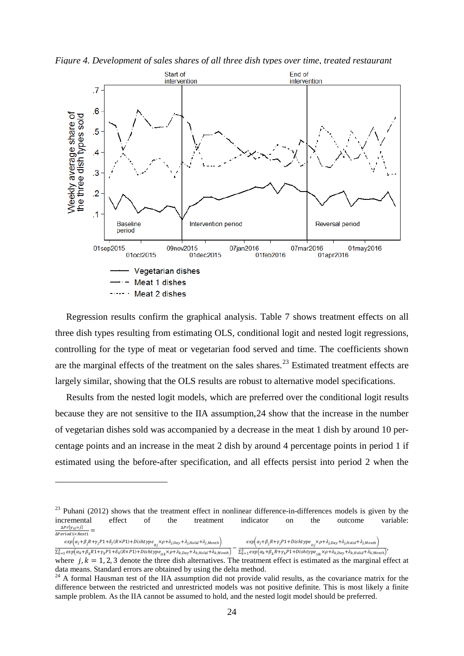<span id="page-24-0"></span>*Figure 4. Development of sales shares of all three dish types over time, treated restaurant*



Regression results confirm the graphical analysis. [Table 7](#page-25-0) shows treatment effects on all three dish types resulting from estimating OLS, conditional logit and nested logit regressions, controlling for the type of meat or vegetarian food served and time. The coefficients shown are the marginal effects of the treatment on the sales shares.<sup>[23](#page-24-1)</sup> Estimated treatment effects are largely similar, showing that the OLS results are robust to alternative model specifications.

Results from the nested logit models, which are preferred over the conditional logit results because they are not sensitive to the IIA assumption,[24](#page-24-2) show that the increase in the number of vegetarian dishes sold was accompanied by a decrease in the meat 1 dish by around 10 percentage points and an increase in the meat 2 dish by around 4 percentage points in period 1 if estimated using the before-after specification, and all effects persist into period 2 when the

 $\exp\left(\alpha_j+\beta_jR+\gamma_jP1+\delta_j(R\times P1)+D \text{ishtype}_{itj} \times \rho+\lambda_{j,Day}+\lambda_{j,Holid}+\lambda_{j,Month}\right)$  $\exp\left(\alpha_j + \beta_j R + \gamma_j P1 + \text{Dishtype}_{itj} \times \rho + \lambda_{j,\text{Day}} + \lambda_{j,\text{Holid}} + \lambda_{j,\text{Month}}\right)$ 

 $\overline{a}$ 

 $\frac{\sum_{k=1}^{3} exp(\alpha_k + \beta_k R + \gamma_k P1 + \delta_k (R \times P1) + Distype_{tk} \times \rho + \lambda_{k,Daay} + \lambda_{k,Holid} + \lambda_{k,Month})}{\sum_{k=1}^{3} exp(\alpha_k + \beta_k R + \gamma_k P1 + Disttype_{tk} \times \rho + \lambda_{k,Daay} + \lambda_{k,Holid} + \lambda_{k,Auth})}$ 

<span id="page-24-1"></span> $^{23}$  Puhani (2012) shows that the treatment effect in nonlinear difference-in-differences models is given by the incremental effect of the treatment indicator on the outcome variable:  $\frac{\Delta Pr[y_{it} = j]}{\Delta Period1 \times Rest1}$  =

where  $j, k = 1, 2, 3$  denote the three dish alternatives. The treatment effect is estimated as the marginal effect at data means. Standard errors are obtained by using the delta method.

<span id="page-24-2"></span> $^{24}$  A formal Hausman test of the IIA assumption did not provide valid results, as the covariance matrix for the difference between the restricted and unrestricted models was not positive definite. This is most likely a finite sample problem. As the IIA cannot be assumed to hold, and the nested logit model should be preferred.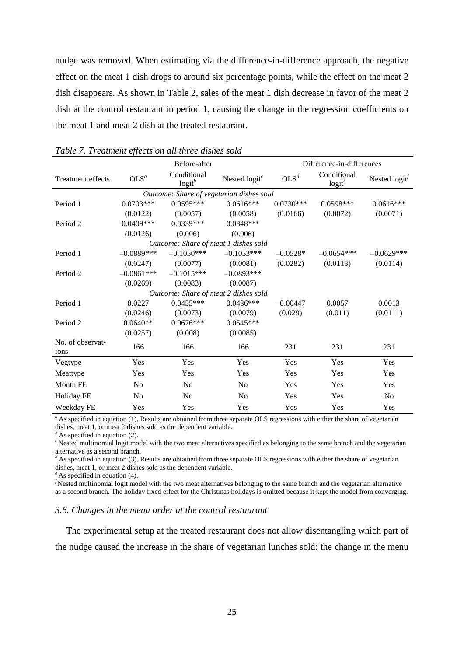nudge was removed. When estimating via the difference-in-difference approach, the negative effect on the meat 1 dish drops to around six percentage points, while the effect on the meat 2 dish disappears. As shown in Table 2, sales of the meat 1 dish decrease in favor of the meat 2 dish at the control restaurant in period 1, causing the change in the regression coefficients on the meat 1 and meat 2 dish at the treated restaurant.

|                          |                  | Before-after                             |                  |                  | Difference-in-differences |                 |
|--------------------------|------------------|------------------------------------------|------------------|------------------|---------------------------|-----------------|
| <b>Treatment effects</b> | $\mathrm{OLS}^a$ | Conditional<br>$\mathrm{logit}^b$        | Nested $logit^c$ | OLS <sup>d</sup> | Conditional<br>$logit^e$  | Nested $logit'$ |
|                          |                  | Outcome: Share of vegetarian dishes sold |                  |                  |                           |                 |
| Period 1                 | $0.0703***$      | $0.0595***$                              | $0.0616***$      | $0.0730***$      | $0.0598***$               | $0.0616***$     |
|                          | (0.0122)         | (0.0057)                                 | (0.0058)         | (0.0166)         | (0.0072)                  | (0.0071)        |
| Period 2                 | $0.0409***$      | $0.0339***$                              | $0.0348***$      |                  |                           |                 |
|                          | (0.0126)         | (0.006)                                  | (0.006)          |                  |                           |                 |
|                          |                  | Outcome: Share of meat 1 dishes sold     |                  |                  |                           |                 |
| Period 1                 | $-0.0889***$     | $-0.1050***$                             | $-0.1053***$     | $-0.0528*$       | $-0.0654***$              | $-0.0629***$    |
|                          | (0.0247)         | (0.0077)                                 | (0.0081)         | (0.0282)         | (0.0113)                  | (0.0114)        |
| Period 2                 | $-0.0861***$     | $-0.1015***$                             | $-0.0893***$     |                  |                           |                 |
|                          | (0.0269)         | (0.0083)                                 | (0.0087)         |                  |                           |                 |
|                          |                  | Outcome: Share of meat 2 dishes sold     |                  |                  |                           |                 |
| Period 1                 | 0.0227           | $0.0455***$                              | $0.0436***$      | $-0.00447$       | 0.0057                    | 0.0013          |
|                          | (0.0246)         | (0.0073)                                 | (0.0079)         | (0.029)          | (0.011)                   | (0.0111)        |
| Period 2                 | $0.0640**$       | $0.0676***$                              | $0.0545***$      |                  |                           |                 |
|                          | (0.0257)         | (0.008)                                  | (0.0085)         |                  |                           |                 |
| No. of observat-<br>ions | 166              | 166                                      | 166              | 231              | 231                       | 231             |
| Vegtype                  | Yes              | Yes                                      | Yes              | Yes              | Yes                       | Yes             |
| Meattype                 | Yes              | Yes                                      | Yes              | Yes              | Yes                       | Yes             |
| Month FE                 | N <sub>o</sub>   | N <sub>o</sub>                           | N <sub>0</sub>   | Yes              | Yes                       | Yes             |
| <b>Holiday FE</b>        | N <sub>o</sub>   | N <sub>0</sub>                           | No               | Yes              | Yes                       | No              |
| Weekday FE               | Yes              | Yes                                      | Yes              | Yes              | Yes                       | Yes             |

<span id="page-25-0"></span>*Table 7. Treatment effects on all three dishes sold*

<sup>a</sup> As specified in equation (1). Results are obtained from three separate OLS regressions with either the share of vegetarian dishes, meat 1, or meat 2 dishes sold as the dependent variable.

 $\alpha$  as specified in equation (2).<br>
"Nested multinomial logit model with the two meat alternatives specified as belonging to the same branch and the vegetarian alternative as a second branch.

<sup>d</sup> As specified in equation (3). Results are obtained from three separate OLS regressions with either the share of vegetarian dishes, meat 1, or meat 2 dishes sold as the dependent variable. *<sup>e</sup>* As specified in equation (4). *<sup>f</sup>*

<sup> $f$ </sup>Nested multinomial logit model with the two meat alternatives belonging to the same branch and the vegetarian alternative as a second branch. The holiday fixed effect for the Christmas holidays is omitted because it kept the model from converging.

#### *3.6. Changes in the menu order at the control restaurant*

<span id="page-25-1"></span>The experimental setup at the treated restaurant does not allow disentangling which part of the nudge caused the increase in the share of vegetarian lunches sold: the change in the menu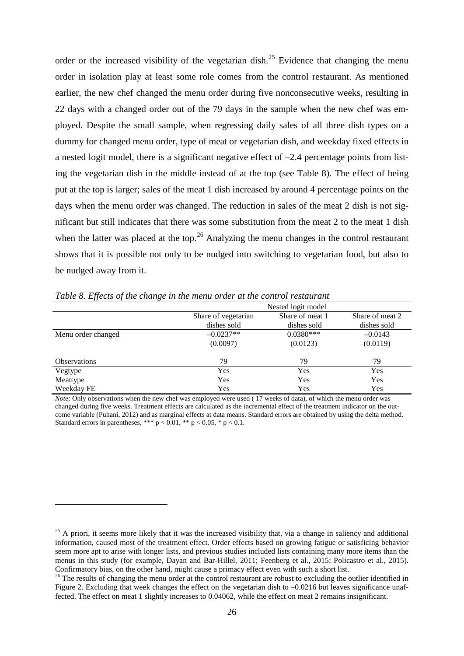order or the increased visibility of the vegetarian dish.<sup>[25](#page-26-1)</sup> Evidence that changing the menu order in isolation play at least some role comes from the control restaurant. As mentioned earlier, the new chef changed the menu order during five nonconsecutive weeks, resulting in 22 days with a changed order out of the 79 days in the sample when the new chef was employed. Despite the small sample, when regressing daily sales of all three dish types on a dummy for changed menu order, type of meat or vegetarian dish, and weekday fixed effects in a nested logit model, there is a significant negative effect of  $-2.4$  percentage points from listing the vegetarian dish in the middle instead of at the top (see [Table 8\)](#page-26-0). The effect of being put at the top is larger; sales of the meat 1 dish increased by around 4 percentage points on the days when the menu order was changed. The reduction in sales of the meat 2 dish is not significant but still indicates that there was some substitution from the meat 2 to the meat 1 dish when the latter was placed at the top.<sup>[26](#page-26-2)</sup> Analyzing the menu changes in the control restaurant shows that it is possible not only to be nudged into switching to vegetarian food, but also to be nudged away from it.

|                     |                     | Nested logit model |                 |
|---------------------|---------------------|--------------------|-----------------|
|                     | Share of vegetarian | Share of meat 1    | Share of meat 2 |
|                     | dishes sold         | dishes sold        | dishes sold     |
| Menu order changed  | $-0.0237**$         | $0.0380***$        | $-0.0143$       |
|                     | (0.0097)            | (0.0123)           | (0.0119)        |
| <b>Observations</b> | 79                  | 79                 | 79              |
| Vegtype             | Yes                 | Yes                | Yes             |
| Meattype            | Yes                 | Yes                | Yes             |
| Weekday FE          | Yes                 | Yes                | Yes             |

<span id="page-26-0"></span>*Table 8. Effects of the change in the menu order at the control restaurant* 

 $\overline{a}$ 

*Note*: Only observations when the new chef was employed were used (17 weeks of data), of which the menu order was changed during five weeks. Treatment effects are calculated as the incremental effect of the treatment indicator on the outcome variable (Puhani, 2012) and as marginal effects at data means. Standard errors are obtained by using the delta method. Standard errors in parentheses, \*\*\*  $p < 0.01$ , \*\*  $p < 0.05$ , \*  $p < 0.1$ .

<span id="page-26-1"></span><sup>&</sup>lt;sup>25</sup> A priori, it seems more likely that it was the increased visibility that, via a change in saliency and additional information, caused most of the treatment effect. Order effects based on growing fatigue or satisficing behavior seem more apt to arise with longer lists, and previous studies included lists containing many more items than the menus in this study (for example, Dayan and Bar-Hillel, 2011; Feenberg et al., 2015; Policastro et al., 2015).<br>Confirmatory bias, on the other hand, might cause a primacy effect even with such a short list.

<span id="page-26-2"></span> $^{26}$  The results of changing the menu order at the control restaurant are robust to excluding the outlier identified in [Figure 2.](#page-16-0) Excluding that week changes the effect on the vegetarian dish to  $-0.0216$  but leaves significance unaffected. The effect on meat 1 slightly increases to 0.04062, while the effect on meat 2 remains insignificant.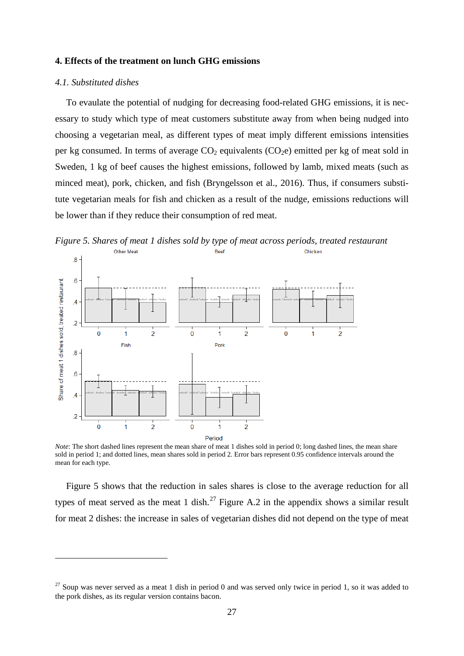#### **4. Effects of the treatment on lunch GHG emissions**

#### *4.1. Substituted dishes*

 $\overline{a}$ 

To evaulate the potential of nudging for decreasing food-related GHG emissions, it is necessary to study which type of meat customers substitute away from when being nudged into choosing a vegetarian meal, as different types of meat imply different emissions intensities per kg consumed. In terms of average  $CO<sub>2</sub>$  equivalents ( $CO<sub>2</sub>e$ ) emitted per kg of meat sold in Sweden, 1 kg of beef causes the highest emissions, followed by lamb, mixed meats (such as minced meat), pork, chicken, and fish (Bryngelsson et al., 2016). Thus, if consumers substitute vegetarian meals for fish and chicken as a result of the nudge, emissions reductions will be lower than if they reduce their consumption of red meat.

<span id="page-27-0"></span>



*Note*: The short dashed lines represent the mean share of meat 1 dishes sold in period 0; long dashed lines, the mean share sold in period 1; and dotted lines, mean shares sold in period 2. Error bars represent 0.95 confidence intervals around the mean for each type.

[Figure 5](#page-27-0) shows that the reduction in sales shares is close to the average reduction for all types of meat served as the meat 1 dish.<sup>[27](#page-27-1)</sup> [Figure](#page-45-0) A.2 in the appendix shows a similar result for meat 2 dishes: the increase in sales of vegetarian dishes did not depend on the type of meat

<span id="page-27-1"></span><sup>&</sup>lt;sup>27</sup> Soup was never served as a meat 1 dish in period 0 and was served only twice in period 1, so it was added to the pork dishes, as its regular version contains bacon.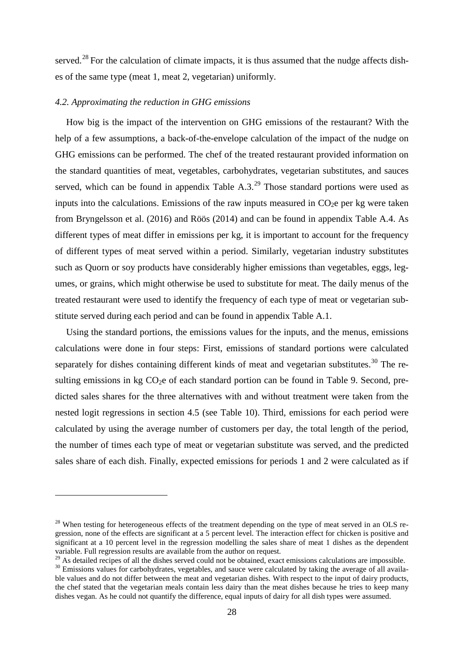served.<sup>[28](#page-28-0)</sup> For the calculation of climate impacts, it is thus assumed that the nudge affects dishes of the same type (meat 1, meat 2, vegetarian) uniformly.

#### *4.2. Approximating the reduction in GHG emissions*

 $\overline{a}$ 

How big is the impact of the intervention on GHG emissions of the restaurant? With the help of a few assumptions, a back-of-the-envelope calculation of the impact of the nudge on GHG emissions can be performed. The chef of the treated restaurant provided information on the standard quantities of meat, vegetables, carbohydrates, vegetarian substitutes, and sauces served, which can be found in appendix Table  $A.3$ <sup>[29](#page-28-1)</sup> Those standard portions were used as inputs into the calculations. Emissions of the raw inputs measured in  $CO<sub>2</sub>e$  per kg were taken from Bryngelsson et al. (2016) and Röös (2014) and can be found in appendix [Table A.4.](#page-44-0) As different types of meat differ in emissions per kg, it is important to account for the frequency of different types of meat served within a period. Similarly, vegetarian industry substitutes such as Quorn or soy products have considerably higher emissions than vegetables, eggs, legumes, or grains, which might otherwise be used to substitute for meat. The daily menus of the treated restaurant were used to identify the frequency of each type of meat or vegetarian substitute served during each period and can be found in appendix [Table A.1.](#page-41-0)

Using the standard portions, the emissions values for the inputs, and the menus, emissions calculations were done in four steps: First, emissions of standard portions were calculated separately for dishes containing different kinds of meat and vegetarian substitutes.<sup>[30](#page-28-2)</sup> The resulting emissions in kg  $CO<sub>2</sub>e$  of each standard portion can be found in [Table 9.](#page-29-0) Second, predicted sales shares for the three alternatives with and without treatment were taken from the nested logit regressions in section 4.5 (see [Table 10\)](#page-31-0). Third, emissions for each period were calculated by using the average number of customers per day, the total length of the period, the number of times each type of meat or vegetarian substitute was served, and the predicted sales share of each dish. Finally, expected emissions for periods 1 and 2 were calculated as if

<span id="page-28-0"></span><sup>&</sup>lt;sup>28</sup> When testing for heterogeneous effects of the treatment depending on the type of meat served in an OLS regression, none of the effects are significant at a 5 percent level. The interaction effect for chicken is positive and significant at a 10 percent level in the regression modelling the sales share of meat 1 dishes as the dependent variable. Full regression results are available from the author on request.

<span id="page-28-1"></span> $^{29}$  As detailed recipes of all the dishes served could not be obtained, exact emissions calculations are impossible.<br><sup>30</sup> Emissions values for carbohydrates, vegetables, and sauce were calculated by taking the average

<span id="page-28-2"></span>ble values and do not differ between the meat and vegetarian dishes. With respect to the input of dairy products, the chef stated that the vegetarian meals contain less dairy than the meat dishes because he tries to keep many dishes vegan. As he could not quantify the difference, equal inputs of dairy for all dish types were assumed.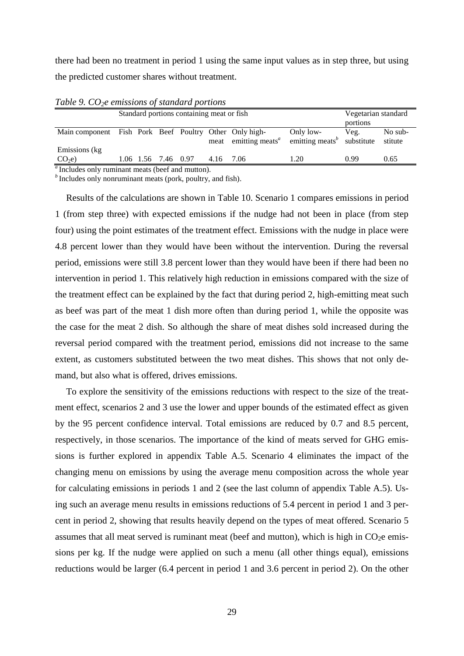there had been no treatment in period 1 using the same input values as in step three, but using the predicted customer shares without treatment.

|  |  |                     |                                                                                                                                                          | Vegetarian standard |                                        |
|--|--|---------------------|----------------------------------------------------------------------------------------------------------------------------------------------------------|---------------------|----------------------------------------|
|  |  |                     |                                                                                                                                                          | portions            |                                        |
|  |  |                     | Only low-                                                                                                                                                | Veg.                | No sub-                                |
|  |  | meat                |                                                                                                                                                          |                     | stitute                                |
|  |  |                     |                                                                                                                                                          |                     |                                        |
|  |  | 4.16                | 1.20                                                                                                                                                     | 0.99                | 0.65                                   |
|  |  | 1.06 1.56 7.46 0.97 | Standard portions containing meat or fish<br>Main component Fish Pork Beef Poultry Other Only high-<br>emitting meats <sup><math>a</math></sup><br>-7.06 |                     | emitting meats <sup>b</sup> substitute |

<span id="page-29-0"></span>*Table 9. CO<sub>2</sub>e emissions of standard portions* 

*<sup>a</sup>* Includes only ruminant meats (beef and mutton). *<sup>b</sup>* Includes only nonruminant meats (pork, poultry, and fish).

Results of the calculations are shown in [Table 10.](#page-31-0) Scenario 1 compares emissions in period 1 (from step three) with expected emissions if the nudge had not been in place (from step four) using the point estimates of the treatment effect. Emissions with the nudge in place were 4.8 percent lower than they would have been without the intervention. During the reversal period, emissions were still 3.8 percent lower than they would have been if there had been no intervention in period 1. This relatively high reduction in emissions compared with the size of the treatment effect can be explained by the fact that during period 2, high-emitting meat such as beef was part of the meat 1 dish more often than during period 1, while the opposite was the case for the meat 2 dish. So although the share of meat dishes sold increased during the reversal period compared with the treatment period, emissions did not increase to the same extent, as customers substituted between the two meat dishes. This shows that not only demand, but also what is offered, drives emissions.

To explore the sensitivity of the emissions reductions with respect to the size of the treatment effect, scenarios 2 and 3 use the lower and upper bounds of the estimated effect as given by the 95 percent confidence interval. Total emissions are reduced by 0.7 and 8.5 percent, respectively, in those scenarios. The importance of the kind of meats served for GHG emissions is further explored in appendix [Table A.5.](#page-45-1) Scenario 4 eliminates the impact of the changing menu on emissions by using the average menu composition across the whole year for calculating emissions in periods 1 and 2 (see the last column of appendix [Table A.5\)](#page-45-1). Using such an average menu results in emissions reductions of 5.4 percent in period 1 and 3 percent in period 2, showing that results heavily depend on the types of meat offered. Scenario 5 assumes that all meat served is ruminant meat (beef and mutton), which is high in  $CO<sub>2</sub>e$  emissions per kg. If the nudge were applied on such a menu (all other things equal), emissions reductions would be larger (6.4 percent in period 1 and 3.6 percent in period 2). On the other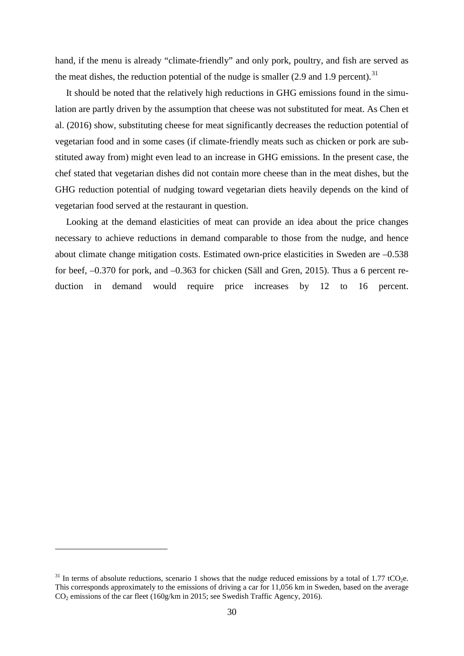hand, if the menu is already "climate-friendly" and only pork, poultry, and fish are served as the meat dishes, the reduction potential of the nudge is smaller  $(2.9 \text{ and } 1.9 \text{ percent})$ .<sup>[31](#page-30-0)</sup>

It should be noted that the relatively high reductions in GHG emissions found in the simulation are partly driven by the assumption that cheese was not substituted for meat. As Chen et al. (2016) show, substituting cheese for meat significantly decreases the reduction potential of vegetarian food and in some cases (if climate-friendly meats such as chicken or pork are substituted away from) might even lead to an increase in GHG emissions. In the present case, the chef stated that vegetarian dishes did not contain more cheese than in the meat dishes, but the GHG reduction potential of nudging toward vegetarian diets heavily depends on the kind of vegetarian food served at the restaurant in question.

Looking at the demand elasticities of meat can provide an idea about the price changes necessary to achieve reductions in demand comparable to those from the nudge, and hence about climate change mitigation costs. Estimated own-price elasticities in Sweden are –0.538 for beef,  $-0.370$  for pork, and  $-0.363$  for chicken (Säll and Gren, 2015). Thus a 6 percent reduction in demand would require price increases by 12 to 16 percent.

<span id="page-30-0"></span> $31$  In terms of absolute reductions, scenario 1 shows that the nudge reduced emissions by a total of 1.77 tCO<sub>2</sub>e. This corresponds approximately to the emissions of driving a car for 11,056 km in Sweden, based on the average  $CO<sub>2</sub>$  emissions of the car fleet (160g/km in 2015; see Swedish Traffic Agency, 2016).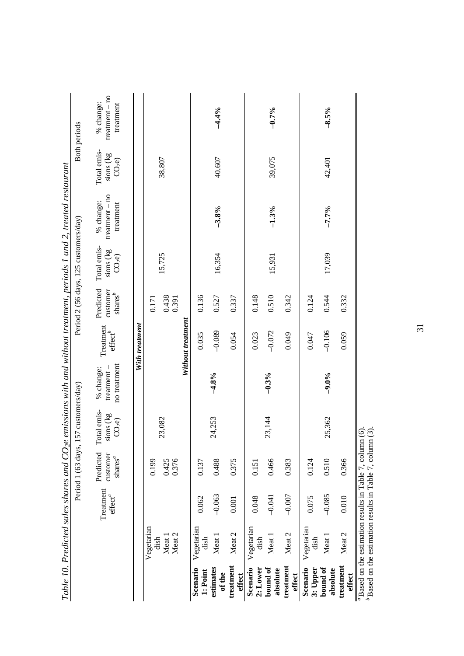|                                                                                                                                |                    |                         | Period 1 (63 days, 1                 | 57 customers/day)                             |                                               |                         |                                        | Period 2 (56 days, 125 customers/day) |                                            |                                               | <b>Both periods</b>                        |
|--------------------------------------------------------------------------------------------------------------------------------|--------------------|-------------------------|--------------------------------------|-----------------------------------------------|-----------------------------------------------|-------------------------|----------------------------------------|---------------------------------------|--------------------------------------------|-----------------------------------------------|--------------------------------------------|
|                                                                                                                                |                    | Treatment<br>$effect^a$ | Predicted<br>customer<br>shares $^a$ | Total emis-<br>sions (kg<br>CO <sub>2</sub> e | no treatment<br>$t$ reatment $-$<br>% change: | Treatment<br>$effect^b$ | Predicted<br>customer<br>shares $\int$ | Total emis-<br>sions (kg $CO2e$ )     | $treatment - no$<br>% change:<br>treatment | Total emis-<br>sions (kg<br>CO <sub>2</sub> e | $treatment - no$<br>% change:<br>treatment |
|                                                                                                                                |                    |                         |                                      |                                               |                                               | With treatment          |                                        |                                       |                                            |                                               |                                            |
|                                                                                                                                | Vegetarian<br>dish |                         | 0.199                                |                                               |                                               |                         | 0.171                                  |                                       |                                            |                                               |                                            |
|                                                                                                                                | Meat 2<br>Meat 1   |                         | 0.425<br>0.376                       | 23,082                                        |                                               |                         | 0.438<br>0.391                         | 15,725                                |                                            | 38,807                                        |                                            |
|                                                                                                                                |                    |                         |                                      |                                               |                                               | Without treatment       |                                        |                                       |                                            |                                               |                                            |
| Scenario<br>1: Point                                                                                                           | Vegetarian<br>dish | 0.062                   | 0.137                                |                                               |                                               | 0.035                   | 0.136                                  |                                       |                                            |                                               |                                            |
| estimates<br>of the                                                                                                            | Meat 1             | $-0.063$                | 0.488                                | 24,253                                        | $-4.8%$                                       | $-0.089$                | 0.527                                  | 16,354                                | $-3.8%$                                    | 40,607                                        | $-4.4%$                                    |
| treatment<br>effect                                                                                                            | Meat 2             | 0.001                   | 0.375                                |                                               |                                               | 0.054                   | 0.337                                  |                                       |                                            |                                               |                                            |
| Scenario<br>2: Lower                                                                                                           | Vegetarian<br>dish | 0.048                   | 0.151                                |                                               |                                               | 0.023                   | 0.148                                  |                                       |                                            |                                               |                                            |
| bound of<br>absolute                                                                                                           | Meat 1             | $-0.041$                | 0.466                                | 23,144                                        | $-0.3\%$                                      | $-0.072$                | 0.510                                  | 15,931                                | $-1.3%$                                    | 39,075                                        | $-0.7\%$                                   |
| treatment<br>effect                                                                                                            | Meat 2             | $-0.007$                | 0.383                                |                                               |                                               | 0.049                   | 0.342                                  |                                       |                                            |                                               |                                            |
| Scenario<br>3: Upper                                                                                                           | Vegetarian<br>dish | 0.075                   | 0.124                                |                                               |                                               | 0.047                   | 0.124                                  |                                       |                                            |                                               |                                            |
| bound of<br>absolute                                                                                                           | Meat 1             | $-0.085$                | 0.510                                | 25,362                                        | $-9.0\%$                                      | $-0.106$                | 0.544                                  | 17,039                                | $-7.7%$                                    | 42,401                                        | $-8.5%$                                    |
| treatment<br>effect                                                                                                            | Meat 2             | 0.010                   | 0.366                                |                                               |                                               | 0.059                   | 0.332                                  |                                       |                                            |                                               |                                            |
| $a$ Based on the estimation results in Table $\overline{7}$ , column<br>$b$ Based on the estimation results in Table 7, column |                    |                         |                                      | 1(6).                                         |                                               |                         |                                        |                                       |                                            |                                               |                                            |

<span id="page-31-0"></span>Table 10. Predicted sales shares and CO<sub>2</sub>e emissions with and without treatment, periods 1 and 2, treated restaurant *Table 10. Predicted sales shares and CO2e emissions with and without treatment, periods 1 and 2, treated restaurant*

31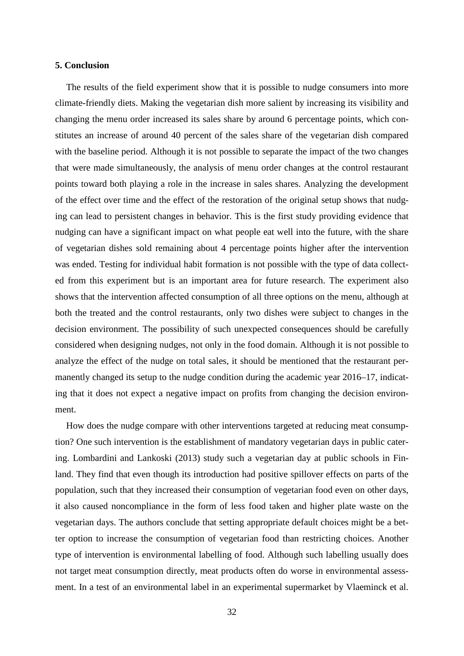#### **5. Conclusion**

The results of the field experiment show that it is possible to nudge consumers into more climate-friendly diets. Making the vegetarian dish more salient by increasing its visibility and changing the menu order increased its sales share by around 6 percentage points, which constitutes an increase of around 40 percent of the sales share of the vegetarian dish compared with the baseline period. Although it is not possible to separate the impact of the two changes that were made simultaneously, the analysis of menu order changes at the control restaurant points toward both playing a role in the increase in sales shares. Analyzing the development of the effect over time and the effect of the restoration of the original setup shows that nudging can lead to persistent changes in behavior. This is the first study providing evidence that nudging can have a significant impact on what people eat well into the future, with the share of vegetarian dishes sold remaining about 4 percentage points higher after the intervention was ended. Testing for individual habit formation is not possible with the type of data collected from this experiment but is an important area for future research. The experiment also shows that the intervention affected consumption of all three options on the menu, although at both the treated and the control restaurants, only two dishes were subject to changes in the decision environment. The possibility of such unexpected consequences should be carefully considered when designing nudges, not only in the food domain. Although it is not possible to analyze the effect of the nudge on total sales, it should be mentioned that the restaurant permanently changed its setup to the nudge condition during the academic year 2016–17, indicating that it does not expect a negative impact on profits from changing the decision environment.

How does the nudge compare with other interventions targeted at reducing meat consumption? One such intervention is the establishment of mandatory vegetarian days in public catering. Lombardini and Lankoski (2013) study such a vegetarian day at public schools in Finland. They find that even though its introduction had positive spillover effects on parts of the population, such that they increased their consumption of vegetarian food even on other days, it also caused noncompliance in the form of less food taken and higher plate waste on the vegetarian days. The authors conclude that setting appropriate default choices might be a better option to increase the consumption of vegetarian food than restricting choices. Another type of intervention is environmental labelling of food. Although such labelling usually does not target meat consumption directly, meat products often do worse in environmental assessment. In a test of an environmental label in an experimental supermarket by Vlaeminck et al.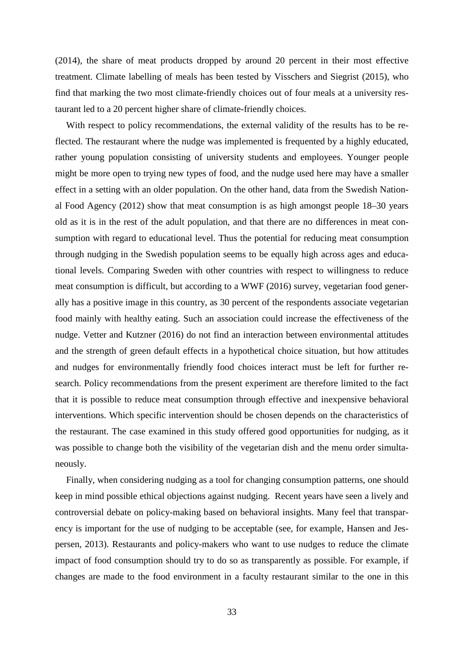(2014), the share of meat products dropped by around 20 percent in their most effective treatment. Climate labelling of meals has been tested by Visschers and Siegrist (2015), who find that marking the two most climate-friendly choices out of four meals at a university restaurant led to a 20 percent higher share of climate-friendly choices.

With respect to policy recommendations, the external validity of the results has to be reflected. The restaurant where the nudge was implemented is frequented by a highly educated, rather young population consisting of university students and employees. Younger people might be more open to trying new types of food, and the nudge used here may have a smaller effect in a setting with an older population. On the other hand, data from the Swedish National Food Agency (2012) show that meat consumption is as high amongst people 18–30 years old as it is in the rest of the adult population, and that there are no differences in meat consumption with regard to educational level. Thus the potential for reducing meat consumption through nudging in the Swedish population seems to be equally high across ages and educational levels. Comparing Sweden with other countries with respect to willingness to reduce meat consumption is difficult, but according to a WWF (2016) survey, vegetarian food generally has a positive image in this country, as 30 percent of the respondents associate vegetarian food mainly with healthy eating. Such an association could increase the effectiveness of the nudge. Vetter and Kutzner (2016) do not find an interaction between environmental attitudes and the strength of green default effects in a hypothetical choice situation, but how attitudes and nudges for environmentally friendly food choices interact must be left for further research. Policy recommendations from the present experiment are therefore limited to the fact that it is possible to reduce meat consumption through effective and inexpensive behavioral interventions. Which specific intervention should be chosen depends on the characteristics of the restaurant. The case examined in this study offered good opportunities for nudging, as it was possible to change both the visibility of the vegetarian dish and the menu order simultaneously.

Finally, when considering nudging as a tool for changing consumption patterns, one should keep in mind possible ethical objections against nudging. Recent years have seen a lively and controversial debate on policy-making based on behavioral insights. Many feel that transparency is important for the use of nudging to be acceptable (see, for example, Hansen and Jespersen, 2013). Restaurants and policy-makers who want to use nudges to reduce the climate impact of food consumption should try to do so as transparently as possible. For example, if changes are made to the food environment in a faculty restaurant similar to the one in this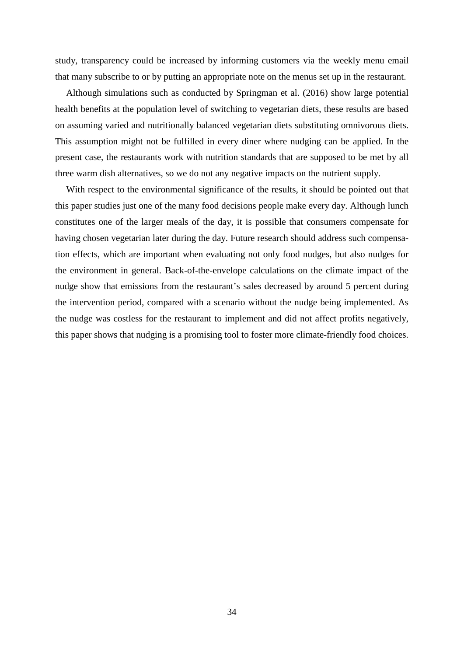study, transparency could be increased by informing customers via the weekly menu email that many subscribe to or by putting an appropriate note on the menus set up in the restaurant.

Although simulations such as conducted by Springman et al. (2016) show large potential health benefits at the population level of switching to vegetarian diets, these results are based on assuming varied and nutritionally balanced vegetarian diets substituting omnivorous diets. This assumption might not be fulfilled in every diner where nudging can be applied. In the present case, the restaurants work with nutrition standards that are supposed to be met by all three warm dish alternatives, so we do not any negative impacts on the nutrient supply.

With respect to the environmental significance of the results, it should be pointed out that this paper studies just one of the many food decisions people make every day. Although lunch constitutes one of the larger meals of the day, it is possible that consumers compensate for having chosen vegetarian later during the day. Future research should address such compensation effects, which are important when evaluating not only food nudges, but also nudges for the environment in general. Back-of-the-envelope calculations on the climate impact of the nudge show that emissions from the restaurant's sales decreased by around 5 percent during the intervention period, compared with a scenario without the nudge being implemented. As the nudge was costless for the restaurant to implement and did not affect profits negatively, this paper shows that nudging is a promising tool to foster more climate-friendly food choices.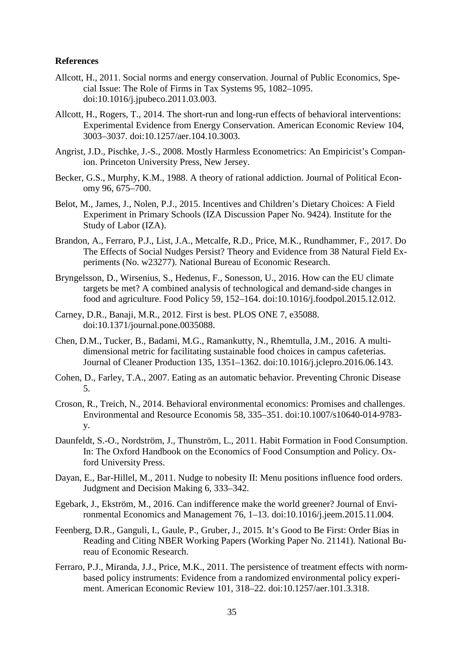#### **References**

- Allcott, H., 2011. Social norms and energy conservation. Journal of Public Economics, Special Issue: The Role of Firms in Tax Systems 95, 1082–1095. doi:10.1016/j.jpubeco.2011.03.003.
- Allcott, H., Rogers, T., 2014. The short-run and long-run effects of behavioral interventions: Experimental Evidence from Energy Conservation. American Economic Review 104, 3003–3037. doi:10.1257/aer.104.10.3003.
- Angrist, J.D., Pischke, J.-S., 2008. Mostly Harmless Econometrics: An Empiricist's Companion. Princeton University Press, New Jersey.
- Becker, G.S., Murphy, K.M., 1988. A theory of rational addiction. Journal of Political Economy 96, 675–700.
- Belot, M., James, J., Nolen, P.J., 2015. Incentives and Children's Dietary Choices: A Field Experiment in Primary Schools (IZA Discussion Paper No. 9424). Institute for the Study of Labor (IZA).
- Brandon, A., Ferraro, P.J., List, J.A., Metcalfe, R.D., Price, M.K., Rundhammer, F., 2017. Do The Effects of Social Nudges Persist? Theory and Evidence from 38 Natural Field Experiments (No. w23277). National Bureau of Economic Research.
- Bryngelsson, D., Wirsenius, S., Hedenus, F., Sonesson, U., 2016. How can the EU climate targets be met? A combined analysis of technological and demand-side changes in food and agriculture. Food Policy 59, 152–164. doi:10.1016/j.foodpol.2015.12.012.
- Carney, D.R., Banaji, M.R., 2012. First is best. PLOS ONE 7, e35088. doi:10.1371/journal.pone.0035088.
- Chen, D.M., Tucker, B., Badami, M.G., Ramankutty, N., Rhemtulla, J.M., 2016. A multidimensional metric for facilitating sustainable food choices in campus cafeterias. Journal of Cleaner Production 135, 1351–1362. doi:10.1016/j.jclepro.2016.06.143.
- Cohen, D., Farley, T.A., 2007. Eating as an automatic behavior. Preventing Chronic Disease 5.
- Croson, R., Treich, N., 2014. Behavioral environmental economics: Promises and challenges. Environmental and Resource Economis 58, 335–351. doi:10.1007/s10640-014-9783 y.
- Daunfeldt, S.-O., Nordström, J., Thunström, L., 2011. Habit Formation in Food Consumption. In: The Oxford Handbook on the Economics of Food Consumption and Policy. Oxford University Press.
- Dayan, E., Bar-Hillel, M., 2011. Nudge to nobesity II: Menu positions influence food orders. Judgment and Decision Making 6, 333–342.
- Egebark, J., Ekström, M., 2016. Can indifference make the world greener? Journal of Environmental Economics and Management 76, 1–13. doi:10.1016/j.jeem.2015.11.004.
- Feenberg, D.R., Ganguli, I., Gaule, P., Gruber, J., 2015. It's Good to Be First: Order Bias in Reading and Citing NBER Working Papers (Working Paper No. 21141). National Bureau of Economic Research.
- Ferraro, P.J., Miranda, J.J., Price, M.K., 2011. The persistence of treatment effects with normbased policy instruments: Evidence from a randomized environmental policy experiment. American Economic Review 101, 318–22. doi:10.1257/aer.101.3.318.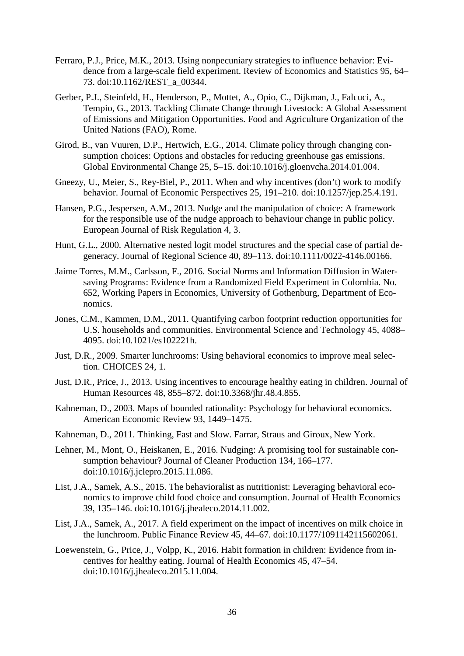- Ferraro, P.J., Price, M.K., 2013. Using nonpecuniary strategies to influence behavior: Evidence from a large-scale field experiment. Review of Economics and Statistics 95, 64– 73. doi:10.1162/REST\_a\_00344.
- Gerber, P.J., Steinfeld, H., Henderson, P., Mottet, A., Opio, C., Dijkman, J., Falcuci, A., Tempio, G., 2013. Tackling Climate Change through Livestock: A Global Assessment of Emissions and Mitigation Opportunities. Food and Agriculture Organization of the United Nations (FAO), Rome.
- Girod, B., van Vuuren, D.P., Hertwich, E.G., 2014. Climate policy through changing consumption choices: Options and obstacles for reducing greenhouse gas emissions. Global Environmental Change 25, 5–15. doi:10.1016/j.gloenvcha.2014.01.004.
- Gneezy, U., Meier, S., Rey-Biel, P., 2011. When and why incentives (don't) work to modify behavior. Journal of Economic Perspectives 25, 191–210. doi:10.1257/jep.25.4.191.
- Hansen, P.G., Jespersen, A.M., 2013. Nudge and the manipulation of choice: A framework for the responsible use of the nudge approach to behaviour change in public policy. European Journal of Risk Regulation 4, 3.
- Hunt, G.L., 2000. Alternative nested logit model structures and the special case of partial degeneracy. Journal of Regional Science 40, 89–113. doi:10.1111/0022-4146.00166.
- Jaime Torres, M.M., Carlsson, F., 2016. Social Norms and Information Diffusion in Watersaving Programs: Evidence from a Randomized Field Experiment in Colombia. No. 652, Working Papers in Economics, University of Gothenburg, Department of Economics.
- Jones, C.M., Kammen, D.M., 2011. Quantifying carbon footprint reduction opportunities for U.S. households and communities. Environmental Science and Technology 45, 4088– 4095. doi:10.1021/es102221h.
- Just, D.R., 2009. Smarter lunchrooms: Using behavioral economics to improve meal selection. CHOICES 24, 1.
- Just, D.R., Price, J., 2013. Using incentives to encourage healthy eating in children. Journal of Human Resources 48, 855–872. doi:10.3368/jhr.48.4.855.
- Kahneman, D., 2003. Maps of bounded rationality: Psychology for behavioral economics. American Economic Review 93, 1449–1475.
- Kahneman, D., 2011. Thinking, Fast and Slow. Farrar, Straus and Giroux, New York.
- Lehner, M., Mont, O., Heiskanen, E., 2016. Nudging: A promising tool for sustainable consumption behaviour? Journal of Cleaner Production 134, 166–177. doi:10.1016/j.jclepro.2015.11.086.
- List, J.A., Samek, A.S., 2015. The behavioralist as nutritionist: Leveraging behavioral economics to improve child food choice and consumption. Journal of Health Economics 39, 135–146. doi:10.1016/j.jhealeco.2014.11.002.
- List, J.A., Samek, A., 2017. A field experiment on the impact of incentives on milk choice in the lunchroom. Public Finance Review 45, 44–67. doi:10.1177/1091142115602061.
- Loewenstein, G., Price, J., Volpp, K., 2016. Habit formation in children: Evidence from incentives for healthy eating. Journal of Health Economics 45, 47–54. doi:10.1016/j.jhealeco.2015.11.004.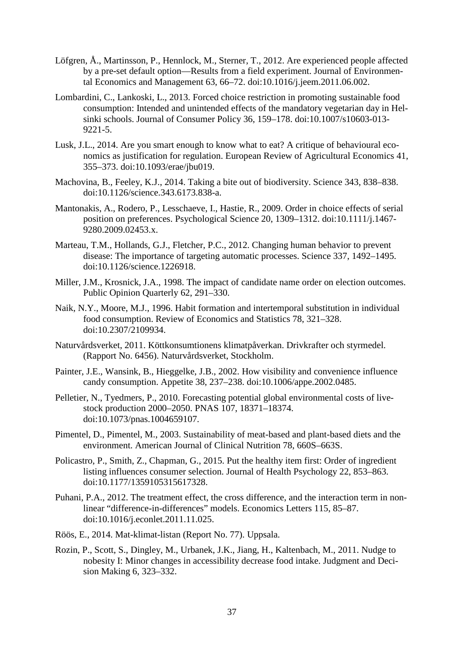- Löfgren, Å., Martinsson, P., Hennlock, M., Sterner, T., 2012. Are experienced people affected by a pre-set default option—Results from a field experiment. Journal of Environmental Economics and Management 63, 66–72. doi:10.1016/j.jeem.2011.06.002.
- Lombardini, C., Lankoski, L., 2013. Forced choice restriction in promoting sustainable food consumption: Intended and unintended effects of the mandatory vegetarian day in Helsinki schools. Journal of Consumer Policy 36, 159–178. doi:10.1007/s10603-013- 9221-5.
- Lusk, J.L., 2014. Are you smart enough to know what to eat? A critique of behavioural economics as justification for regulation. European Review of Agricultural Economics 41, 355–373. doi:10.1093/erae/jbu019.
- Machovina, B., Feeley, K.J., 2014. Taking a bite out of biodiversity. Science 343, 838–838. doi:10.1126/science.343.6173.838-a.
- Mantonakis, A., Rodero, P., Lesschaeve, I., Hastie, R., 2009. Order in choice effects of serial position on preferences. Psychological Science 20, 1309–1312. doi:10.1111/j.1467- 9280.2009.02453.x.
- Marteau, T.M., Hollands, G.J., Fletcher, P.C., 2012. Changing human behavior to prevent disease: The importance of targeting automatic processes. Science 337, 1492–1495. doi:10.1126/science.1226918.
- Miller, J.M., Krosnick, J.A., 1998. The impact of candidate name order on election outcomes. Public Opinion Quarterly 62, 291–330.
- Naik, N.Y., Moore, M.J., 1996. Habit formation and intertemporal substitution in individual food consumption. Review of Economics and Statistics 78, 321–328. doi:10.2307/2109934.
- Naturvårdsverket, 2011. Köttkonsumtionens klimatpåverkan. Drivkrafter och styrmedel. (Rapport No. 6456). Naturvårdsverket, Stockholm.
- Painter, J.E., Wansink, B., Hieggelke, J.B., 2002. How visibility and convenience influence candy consumption. Appetite 38, 237–238. doi:10.1006/appe.2002.0485.
- Pelletier, N., Tyedmers, P., 2010. Forecasting potential global environmental costs of livestock production 2000–2050. PNAS 107, 18371–18374. doi:10.1073/pnas.1004659107.
- Pimentel, D., Pimentel, M., 2003. Sustainability of meat-based and plant-based diets and the environment. American Journal of Clinical Nutrition 78, 660S–663S.
- Policastro, P., Smith, Z., Chapman, G., 2015. Put the healthy item first: Order of ingredient listing influences consumer selection. Journal of Health Psychology 22, 853–863. doi:10.1177/1359105315617328.
- Puhani, P.A., 2012. The treatment effect, the cross difference, and the interaction term in nonlinear "difference-in-differences" models. Economics Letters 115, 85–87. doi:10.1016/j.econlet.2011.11.025.
- Röös, E., 2014. Mat-klimat-listan (Report No. 77). Uppsala.
- Rozin, P., Scott, S., Dingley, M., Urbanek, J.K., Jiang, H., Kaltenbach, M., 2011. Nudge to nobesity I: Minor changes in accessibility decrease food intake. Judgment and Decision Making 6, 323–332.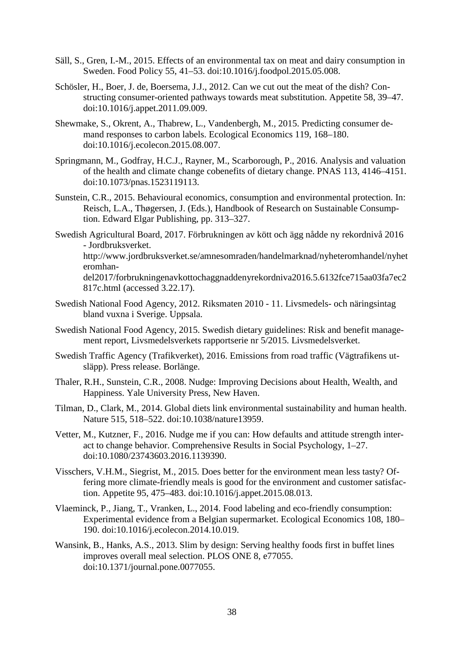- Säll, S., Gren, I.-M., 2015. Effects of an environmental tax on meat and dairy consumption in Sweden. Food Policy 55, 41–53. doi:10.1016/j.foodpol.2015.05.008.
- Schösler, H., Boer, J. de, Boersema, J.J., 2012. Can we cut out the meat of the dish? Constructing consumer-oriented pathways towards meat substitution. Appetite 58, 39–47. doi:10.1016/j.appet.2011.09.009.
- Shewmake, S., Okrent, A., Thabrew, L., Vandenbergh, M., 2015. Predicting consumer demand responses to carbon labels. Ecological Economics 119, 168–180. doi:10.1016/j.ecolecon.2015.08.007.
- Springmann, M., Godfray, H.C.J., Rayner, M., Scarborough, P., 2016. Analysis and valuation of the health and climate change cobenefits of dietary change. PNAS 113, 4146–4151. doi:10.1073/pnas.1523119113.
- Sunstein, C.R., 2015. Behavioural economics, consumption and environmental protection. In: Reisch, L.A., Thøgersen, J. (Eds.), Handbook of Research on Sustainable Consumption. Edward Elgar Publishing, pp. 313–327.
- Swedish Agricultural Board, 2017. Förbrukningen av kött och ägg nådde ny rekordnivå 2016 - Jordbruksverket. http://www.jordbruksverket.se/amnesomraden/handelmarknad/nyheteromhandel/nyhet eromhandel2017/forbrukningenavkottochaggnaddenyrekordniva2016.5.6132fce715aa03fa7ec2 817c.html (accessed 3.22.17).
- Swedish National Food Agency, 2012. Riksmaten 2010 11. Livsmedels- och näringsintag bland vuxna i Sverige. Uppsala.
- Swedish National Food Agency, 2015. Swedish dietary guidelines: Risk and benefit management report, Livsmedelsverkets rapportserie nr 5/2015. Livsmedelsverket.
- Swedish Traffic Agency (Trafikverket), 2016. Emissions from road traffic (Vägtrafikens utsläpp). Press release. Borlänge.
- Thaler, R.H., Sunstein, C.R., 2008. Nudge: Improving Decisions about Health, Wealth, and Happiness. Yale University Press, New Haven.
- Tilman, D., Clark, M., 2014. Global diets link environmental sustainability and human health. Nature 515, 518–522. doi:10.1038/nature13959.
- Vetter, M., Kutzner, F., 2016. Nudge me if you can: How defaults and attitude strength interact to change behavior. Comprehensive Results in Social Psychology, 1–27. doi:10.1080/23743603.2016.1139390.
- Visschers, V.H.M., Siegrist, M., 2015. Does better for the environment mean less tasty? Offering more climate-friendly meals is good for the environment and customer satisfaction. Appetite 95, 475–483. doi:10.1016/j.appet.2015.08.013.
- Vlaeminck, P., Jiang, T., Vranken, L., 2014. Food labeling and eco-friendly consumption: Experimental evidence from a Belgian supermarket. Ecological Economics 108, 180– 190. doi:10.1016/j.ecolecon.2014.10.019.
- Wansink, B., Hanks, A.S., 2013. Slim by design: Serving healthy foods first in buffet lines improves overall meal selection. PLOS ONE 8, e77055. doi:10.1371/journal.pone.0077055.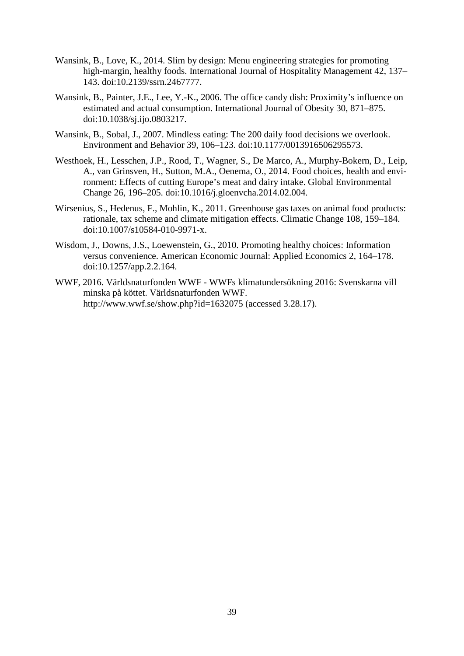- Wansink, B., Love, K., 2014. Slim by design: Menu engineering strategies for promoting high-margin, healthy foods. International Journal of Hospitality Management 42, 137– 143. doi:10.2139/ssrn.2467777.
- Wansink, B., Painter, J.E., Lee, Y.-K., 2006. The office candy dish: Proximity's influence on estimated and actual consumption. International Journal of Obesity 30, 871–875. doi:10.1038/sj.ijo.0803217.
- Wansink, B., Sobal, J., 2007. Mindless eating: The 200 daily food decisions we overlook. Environment and Behavior 39, 106–123. doi:10.1177/0013916506295573.
- Westhoek, H., Lesschen, J.P., Rood, T., Wagner, S., De Marco, A., Murphy-Bokern, D., Leip, A., van Grinsven, H., Sutton, M.A., Oenema, O., 2014. Food choices, health and environment: Effects of cutting Europe's meat and dairy intake. Global Environmental Change 26, 196–205. doi:10.1016/j.gloenvcha.2014.02.004.
- Wirsenius, S., Hedenus, F., Mohlin, K., 2011. Greenhouse gas taxes on animal food products: rationale, tax scheme and climate mitigation effects. Climatic Change 108, 159–184. doi:10.1007/s10584-010-9971-x.
- Wisdom, J., Downs, J.S., Loewenstein, G., 2010. Promoting healthy choices: Information versus convenience. American Economic Journal: Applied Economics 2, 164–178. doi:10.1257/app.2.2.164.
- WWF, 2016. Världsnaturfonden WWF WWFs klimatundersökning 2016: Svenskarna vill minska på köttet. Världsnaturfonden WWF. http://www.wwf.se/show.php?id=1632075 (accessed 3.28.17).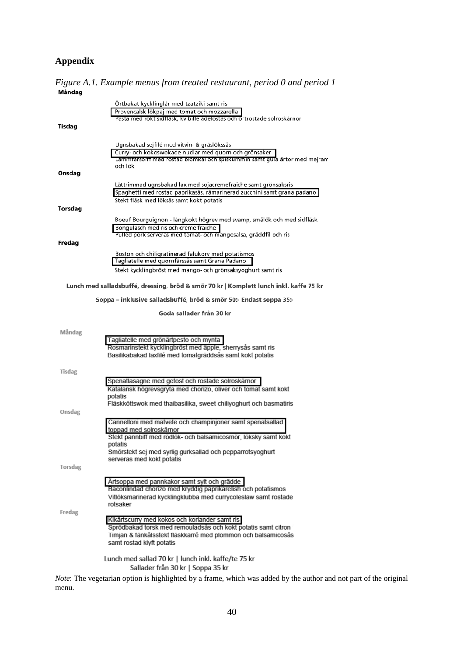### **Appendix**

|         | Örtbakat kycklinglår med tzatziki samt ris                                                                                         |
|---------|------------------------------------------------------------------------------------------------------------------------------------|
|         | Provencalsk lökpaj med tomat och mozzarella                                                                                        |
|         | Pasta med rökt sidfläsk, kvibille ädelostås och örtrostade solroskärnor                                                            |
| Tisdag  |                                                                                                                                    |
|         |                                                                                                                                    |
|         |                                                                                                                                    |
|         | Ugnsbakad sejfilé med vitvin- & gräslökssås                                                                                        |
|         | Curry- och kokoswokade nudlar med quorn och grönsaker<br>Lammtarsbitt med rostad blomkal och spiskummin samt gula ärtor med mejram |
|         | och lök                                                                                                                            |
| Onsdag  |                                                                                                                                    |
|         |                                                                                                                                    |
|         | Lättrimmad ugnsbakad lax med sojacremefraiche samt grönsaksris                                                                     |
|         | Spaghetti med rostad paprikasås, råmarinerad zucchini samt grana padano                                                            |
|         | Stekt fläsk med löksås samt kokt potatis                                                                                           |
| Torsdag |                                                                                                                                    |
|         |                                                                                                                                    |
|         | Boeuf Bourguignon - långkokt högrev med svamp, smålök och med sidfläsk                                                             |
|         | Böngulasch med ris och crème fraiche                                                                                               |
|         | Pulled pork serveras med tomat- och mangosalsa, gräddfil och ris                                                                   |
| Fredag  |                                                                                                                                    |
|         | Boston och chiligratinerad falukorv med potatismos                                                                                 |
|         | Tagliatelle med quornfärssås samt Grana Padano                                                                                     |
|         |                                                                                                                                    |
|         | Stekt kycklingbröst med mango- och grönsaksyoghurt samt ris                                                                        |
|         | Lunch med salladsbuffé, dressing, bröd & smör 70 kr   Komplett lunch inkl. kaffe 75 kr                                             |
|         |                                                                                                                                    |
|         | Soppa – inklusive salladsbuffé, bröd & smör 50:- Endast soppa 35:-                                                                 |
|         | Goda sallader från 30 kr                                                                                                           |
|         |                                                                                                                                    |
|         |                                                                                                                                    |
| Måndag  |                                                                                                                                    |
|         | Tagliatelle med grönärtpesto och mynta                                                                                             |
|         | Rosmarinstekt kycklingbröst med äpple, sherrysås samt ris                                                                          |
|         | Basilikabakad laxfilé med tomatgräddsås samt kokt potatis                                                                          |
|         |                                                                                                                                    |
| Tisdag  |                                                                                                                                    |
|         | Spenatlasagne med getost och rostade solroskärnor                                                                                  |
|         | Katalansk högrevsgryta med chorizo, oliver och tomat samt kokt                                                                     |
|         | potatis                                                                                                                            |
|         | Fläskköttswok med thaibasilika, sweet chiliyoghurt och basmatiris                                                                  |
| Onsdag  |                                                                                                                                    |
|         |                                                                                                                                    |
|         | Cannelloni med matvete och champinjoner samt spenatsallad                                                                          |
|         | toppad med solroskärnor                                                                                                            |
|         | Stekt pannbiff med rödlök- och balsamicosmör, löksky samt kokt                                                                     |
|         |                                                                                                                                    |
|         | Smörstekt sej med syrlig gurksallad och pepparrotsyoghurt<br>serveras med kokt potatis                                             |
|         |                                                                                                                                    |
| Torsdag |                                                                                                                                    |
|         | Ärtsoppa med pannkakor samt sylt och grädde                                                                                        |
|         | Baconlindad chorizo med kryddig paprikarelish och potatismos                                                                       |
|         |                                                                                                                                    |
|         | Vitlöksmarinerad kycklingklubba med currycoleslaw samt rostade                                                                     |
|         | rotsaker                                                                                                                           |
| Fredag  |                                                                                                                                    |
|         | Kikärtscurry med kokos och koriander samt ris                                                                                      |
|         | Sprödbakad torsk med remouladsås och kokt potatis samt citron                                                                      |
|         | Timjan & fänkålsstekt fläskkarré med plommon och balsamicosås                                                                      |
|         | samt rostad klyft potatis                                                                                                          |
|         |                                                                                                                                    |
|         | Lunch med sallad 70 kr   lunch inkl. kaffe/te 75 kr                                                                                |
|         | Sallader från 30 kr   Soppa 35 kr                                                                                                  |
|         |                                                                                                                                    |

<span id="page-40-0"></span>*Figure A.1. Example menus from treated restaurant, period 0 and period 1*

*Note*: The vegetarian option is highlighted by a frame, which was added by the author and not part of the original menu.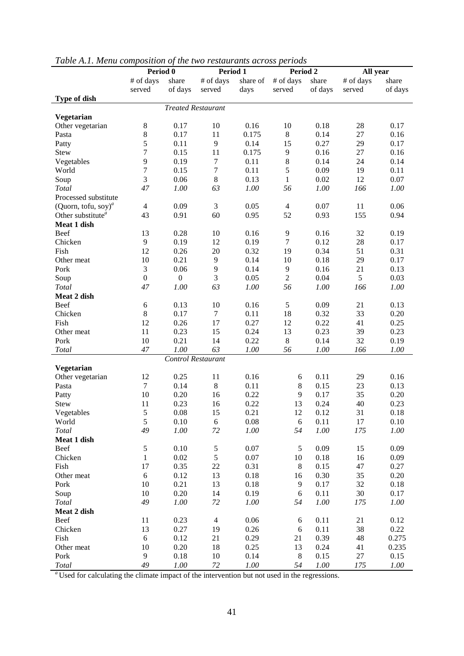| rabic 1 <b>.</b> 1.1. mena composition of the two restaurants across periods | Period 0            |                  | Period 1                  |                  | Period 2       |                  | All year  |          |
|------------------------------------------------------------------------------|---------------------|------------------|---------------------------|------------------|----------------|------------------|-----------|----------|
|                                                                              | # of days           | share            | # of days                 | share of         | # of days      | share            | # of days | share    |
|                                                                              | served              | of days          | served                    | days             | served         | of days          | served    | of days  |
| Type of dish                                                                 |                     |                  |                           |                  |                |                  |           |          |
|                                                                              |                     |                  | <b>Treated Restaurant</b> |                  |                |                  |           |          |
| Vegetarian                                                                   |                     |                  |                           |                  |                |                  |           |          |
| Other vegetarian                                                             | 8                   | 0.17             | 10                        | 0.16             | 10             | 0.18             | 28        | 0.17     |
| Pasta                                                                        | $8\,$               | 0.17             | 11                        | 0.175            | 8              | 0.14             | 27        | 0.16     |
| Patty                                                                        | 5                   | 0.11             | 9                         | 0.14             | 15             | 0.27             | 29        | 0.17     |
| <b>Stew</b>                                                                  | $\tau$              | 0.15             | 11                        | 0.175            | 9              | 0.16             | 27        | 0.16     |
| Vegetables                                                                   | 9                   | 0.19             | $\tau$                    | 0.11             | $8\,$          | 0.14             | 24        | 0.14     |
| World                                                                        | $\boldsymbol{7}$    | 0.15             | $\boldsymbol{7}$          | 0.11             | 5              | 0.09             | 19        | 0.11     |
| Soup                                                                         | 3                   | 0.06             | $8\,$                     | 0.13             | $\mathbf{1}$   | 0.02             | 12        | $0.07\,$ |
| Total                                                                        | 47                  | 1.00             | 63                        | 1.00             | 56             | 1.00             | 166       | 1.00     |
| Processed substitute                                                         |                     |                  |                           |                  |                |                  |           |          |
|                                                                              | $\overline{4}$      | 0.09             | $\mathfrak{Z}$            | 0.05             | $\overline{4}$ | 0.07             | 11        | 0.06     |
| (Quorn, tofu, soy) $^a$<br>Other substitute <sup>a</sup>                     | 43                  | 0.91             | 60                        | 0.95             | 52             | 0.93             | 155       | 0.94     |
| Meat 1 dish                                                                  |                     |                  |                           |                  |                |                  |           |          |
| Beef                                                                         | 13                  | 0.28             | 10                        | 0.16             | 9              | 0.16             | 32        | 0.19     |
| Chicken                                                                      | 9                   | 0.19             | 12                        | 0.19             | $\tau$         | 0.12             | 28        | 0.17     |
| Fish                                                                         | 12                  | 0.26             |                           | 0.32             | 19             | 0.34             | 51        | 0.31     |
|                                                                              | 10                  | 0.21             | 20<br>9                   | 0.14             | 10             | 0.18             | 29        | 0.17     |
| Other meat                                                                   | 3                   | 0.06             | 9                         | 0.14             | 9              | 0.16             | 21        | 0.13     |
| Pork                                                                         | $\overline{0}$      | $\boldsymbol{0}$ | 3                         | 0.05             | $\overline{2}$ | 0.04             | 5         | 0.03     |
| Soup                                                                         | 47                  | 1.00             | 63                        | 1.00             | 56             | 1.00             | 166       | 1.00     |
| Total                                                                        |                     |                  |                           |                  |                |                  |           |          |
| Meat 2 dish                                                                  |                     | 0.13             | 10                        | 0.16             | 5              | 0.09             | 21        | 0.13     |
| Beef<br>Chicken                                                              | $\sqrt{6}$<br>8     | 0.17             | $\boldsymbol{7}$          | 0.11             | 18             | 0.32             | 33        | 0.20     |
| Fish                                                                         | 12                  | 0.26             | 17                        | 0.27             | 12             | 0.22             | 41        | 0.25     |
|                                                                              | 11                  | 0.23             | 15                        | 0.24             | 13             | 0.23             | 39        | 0.23     |
| Other meat                                                                   | 10                  | 0.21             | 14                        | 0.22             | $8\,$          | 0.14             | 32        | 0.19     |
| Pork<br>Total                                                                | 47                  | 1.00             | 63                        | $1.00\,$         | 56             | 1.00             | 166       | 1.00     |
|                                                                              |                     |                  | Control Restaurant        |                  |                |                  |           |          |
|                                                                              |                     |                  |                           |                  |                |                  |           |          |
| Vegetarian                                                                   | 12                  | 0.25             | 11                        | 0.16             |                | 0.11             | 29        | 0.16     |
| Other vegetarian<br>Pasta                                                    | $\tau$              | 0.14             | $8\,$                     | 0.11             | 6<br>8         | 0.15             | 23        | 0.13     |
|                                                                              | 10                  | 0.20             | 16                        | 0.22             | 9              | 0.17             | 35        | 0.20     |
| Patty                                                                        |                     |                  |                           |                  |                |                  |           |          |
| <b>Stew</b>                                                                  | 11                  | 0.23             | 16                        | 0.22             | 13             | 0.24<br>0.12     | 40        | 0.23     |
| Vegetables                                                                   | $\mathfrak{S}$<br>5 | $0.08\,$         | 15                        | 0.21             | 12             |                  | 31        | 0.18     |
| World                                                                        | 49                  | 0.10             | 6<br>$72\,$               | 0.08<br>$1.00\,$ | $6\,$<br>54    | 0.11<br>$1.00\,$ | 17        | 0.10     |
| Total                                                                        |                     | 1.00             |                           |                  |                |                  | 175       | 1.00     |
| Meat 1 dish                                                                  |                     |                  |                           |                  |                |                  |           |          |
| Beef                                                                         | 5                   | 0.10             | $\mathfrak s$             | 0.07             | 5              | 0.09             | 15        | 0.09     |
| Chicken                                                                      | $\mathbf{1}$        | 0.02             | 5                         | 0.07             | 10             | 0.18             | 16        | 0.09     |
| Fish                                                                         | 17                  | 0.35             | $22\,$                    | 0.31             | $\,8\,$        | 0.15             | 47        | 0.27     |
| Other meat                                                                   | $\sqrt{6}$          | 0.12             | 13                        | 0.18             | 16             | 0.30             | 35        | 0.20     |
| Pork                                                                         | 10                  | 0.21             | 13                        | 0.18             | 9              | 0.17             | 32        | 0.18     |
| Soup                                                                         | $10\,$<br>49        | 0.20             | 14                        | 0.19             | 6              | 0.11             | 30        | 0.17     |
| Total                                                                        |                     | 1.00             | $72\,$                    | 1.00             | 54             | $1.00\,$         | 175       | 1.00     |
| Meat 2 dish                                                                  |                     |                  |                           |                  |                |                  |           |          |
| Beef                                                                         | 11                  | 0.23             | $\overline{4}$            | 0.06             | $\sqrt{6}$     | 0.11             | 21        | 0.12     |
| Chicken                                                                      | 13                  | 0.27             | 19                        | 0.26             | $\sqrt{6}$     | 0.11             | 38        | 0.22     |
| Fish                                                                         | $\sqrt{6}$          | 0.12             | 21                        | 0.29             | 21             | 0.39             | 48        | 0.275    |
| Other meat                                                                   | 10                  | 0.20             | 18                        | 0.25             | 13             | 0.24             | 41        | 0.235    |
| Pork                                                                         | 9                   | 0.18             | 10                        | 0.14             | $8\phantom{1}$ | 0.15             | 27        | 0.15     |
| Total                                                                        | 49                  | 1.00             | $72\,$                    | 1.00             | 54             | 1.00             | 175       | $1.00\,$ |

<span id="page-41-0"></span>

| Table A.1. Menu composition of the two restaurants across periods |  |  |
|-------------------------------------------------------------------|--|--|
|-------------------------------------------------------------------|--|--|

<sup>a</sup> Used for calculating the climate impact of the intervention but not used in the regressions.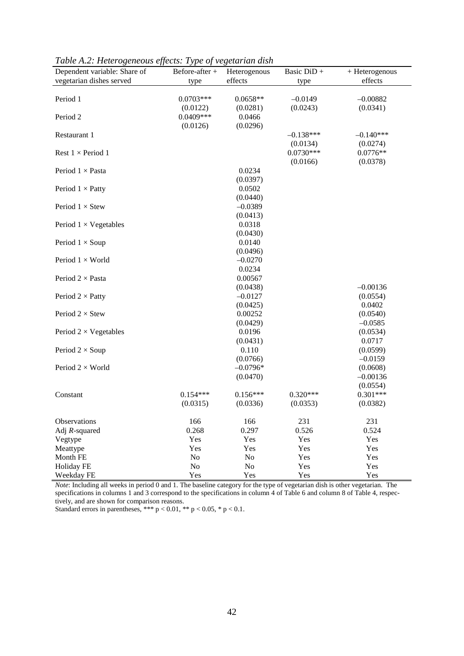| Dependent variable: Share of  | Before-after + | Heterogenous | Basic DiD + | + Heterogenous |
|-------------------------------|----------------|--------------|-------------|----------------|
| vegetarian dishes served      | type           | effects      | type        | effects        |
|                               |                |              |             |                |
| Period 1                      | $0.0703***$    | $0.0658**$   | $-0.0149$   | $-0.00882$     |
|                               | (0.0122)       | (0.0281)     | (0.0243)    | (0.0341)       |
| Period <sub>2</sub>           | $0.0409***$    | 0.0466       |             |                |
|                               | (0.0126)       | (0.0296)     |             |                |
| Restaurant 1                  |                |              | $-0.138***$ | $-0.140***$    |
|                               |                |              | (0.0134)    | (0.0274)       |
| Rest $1 \times$ Period 1      |                |              | $0.0730***$ | $0.0776**$     |
|                               |                |              | (0.0166)    | (0.0378)       |
| Period $1 \times$ Pasta       |                | 0.0234       |             |                |
|                               |                | (0.0397)     |             |                |
| Period $1 \times$ Patty       |                | 0.0502       |             |                |
|                               |                | (0.0440)     |             |                |
| Period $1 \times$ Stew        |                | $-0.0389$    |             |                |
|                               |                | (0.0413)     |             |                |
| Period $1 \times V$ egetables |                | 0.0318       |             |                |
|                               |                | (0.0430)     |             |                |
| Period $1 \times$ Soup        |                | 0.0140       |             |                |
|                               |                | (0.0496)     |             |                |
| Period $1 \times$ World       |                | $-0.0270$    |             |                |
|                               |                | 0.0234       |             |                |
| Period $2 \times$ Pasta       |                | 0.00567      |             |                |
|                               |                | (0.0438)     |             | $-0.00136$     |
| Period $2 \times$ Patty       |                | $-0.0127$    |             | (0.0554)       |
|                               |                | (0.0425)     |             | 0.0402         |
| Period $2 \times$ Stew        |                | 0.00252      |             | (0.0540)       |
|                               |                | (0.0429)     |             | $-0.0585$      |
| Period $2 \times V$ egetables |                | 0.0196       |             | (0.0534)       |
|                               |                | (0.0431)     |             | 0.0717         |
| Period $2 \times$ Soup        |                | 0.110        |             | (0.0599)       |
|                               |                | (0.0766)     |             | $-0.0159$      |
| Period $2 \times$ World       |                | $-0.0796*$   |             | (0.0608)       |
|                               |                | (0.0470)     |             | $-0.00136$     |
|                               |                |              |             | (0.0554)       |
| Constant                      | $0.154***$     | $0.156***$   | $0.320***$  | $0.301***$     |
|                               | (0.0315)       | (0.0336)     | (0.0353)    | (0.0382)       |
| Observations                  | 166            | 166          | 231         | 231            |
| Adj $R$ -squared              | 0.268          | 0.297        | 0.526       | 0.524          |
| Vegtype                       | Yes            | Yes          | Yes         | Yes            |
| Meattype                      | Yes            | Yes          | Yes         | Yes            |
| Month FE                      | $\rm No$       | No           | Yes         | Yes            |
| Holiday FE                    | $\rm No$       | No           | Yes         | Yes            |
| Weekday FE                    | Yes            | Yes          | Yes         | Yes            |

<span id="page-42-0"></span>*Table A.2: Heterogeneous effects: Type of vegetarian dish*

*Note*: Including all weeks in period 0 and 1. The baseline category for the type of vegetarian dish is other vegetarian. The specifications in columns 1 and 3 correspond to the specifications in column 4 of [Table 6](#page-22-0) and column 8 of [Table 4,](#page-19-0) respectively, and are shown for comparison reasons.

Standard errors in parentheses, \*\*\*  $p < 0.01$ , \*\*  $p < 0.05$ , \*  $p < 0.1$ .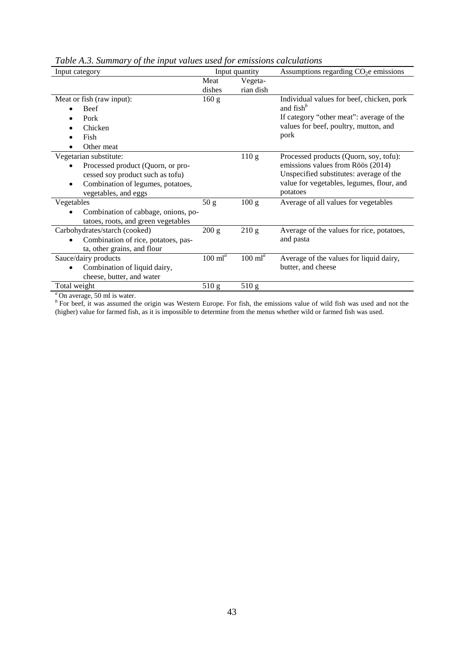| Input category                      | Input quantity     |                    | Assumptions regarding $CO2e$ emissions    |  |  |
|-------------------------------------|--------------------|--------------------|-------------------------------------------|--|--|
|                                     | Meat               | Vegeta-            |                                           |  |  |
|                                     | dishes             | rian dish          |                                           |  |  |
| Meat or fish (raw input):           | 160 <sub>g</sub>   |                    | Individual values for beef, chicken, pork |  |  |
| Beef                                |                    |                    | and $fish^b$                              |  |  |
| Pork                                |                    |                    | If category "other meat": average of the  |  |  |
| Chicken                             |                    |                    | values for beef, poultry, mutton, and     |  |  |
| Fish                                |                    |                    | pork                                      |  |  |
| Other meat                          |                    |                    |                                           |  |  |
| Vegetarian substitute:              |                    | 110 <sub>g</sub>   | Processed products (Quorn, soy, tofu):    |  |  |
| Processed product (Quorn, or pro-   |                    |                    | emissions values from Röös (2014)         |  |  |
| cessed soy product such as tofu)    |                    |                    | Unspecified substitutes: average of the   |  |  |
| Combination of legumes, potatoes,   |                    |                    | value for vegetables, legumes, flour, and |  |  |
| vegetables, and eggs                |                    |                    | potatoes                                  |  |  |
| Vegetables                          | 50 g               | 100 g              | Average of all values for vegetables      |  |  |
| Combination of cabbage, onions, po- |                    |                    |                                           |  |  |
| tatoes, roots, and green vegetables |                    |                    |                                           |  |  |
| Carbohydrates/starch (cooked)       | 200 g              | 210 g              | Average of the values for rice, potatoes, |  |  |
| Combination of rice, potatoes, pas- |                    |                    | and pasta                                 |  |  |
| ta, other grains, and flour         |                    |                    |                                           |  |  |
| Sauce/dairy products                | $100 \text{ ml}^a$ | $100 \text{ ml}^a$ | Average of the values for liquid dairy,   |  |  |
| Combination of liquid dairy,        |                    |                    | butter, and cheese                        |  |  |
| cheese, butter, and water           |                    |                    |                                           |  |  |
| Total weight                        | 510 g              | 510 g              |                                           |  |  |

<span id="page-43-0"></span>*Table A.3. Summary of the input values used for emissions calculations*

<sup>*a*</sup> On average, 50 ml is water. *b* For beef, it was assumed the origin was Western Europe. For fish, the emissions value of wild fish was used and not the (higher) value for farmed fish, as it is impossible to determine from the menus whether wild or farmed fish was used.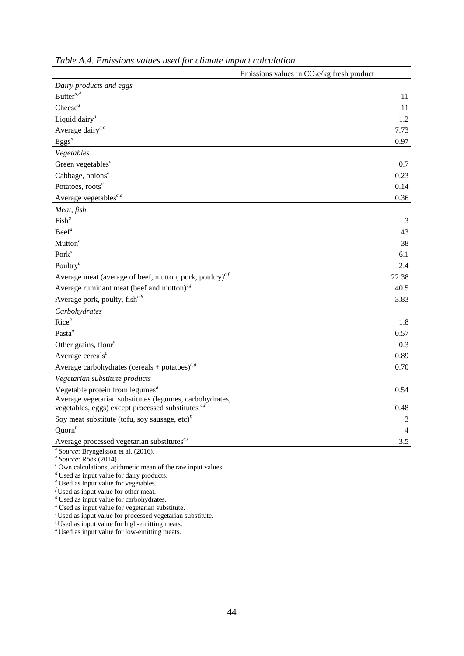|                                                                                       | Emissions values in $CO2e/kg$ fresh product |
|---------------------------------------------------------------------------------------|---------------------------------------------|
| Dairy products and eggs                                                               |                                             |
| Butter $a,d$                                                                          | 11                                          |
| $\text{Cheese}^a$                                                                     | 11                                          |
| Liquid dairy <sup>a</sup>                                                             | 1.2                                         |
| Average dairy $^{c,d}$                                                                | 7.73                                        |
| $Eggs^a$                                                                              | 0.97                                        |
| Vegetables                                                                            |                                             |
| Green vegetables <sup>a</sup>                                                         | 0.7                                         |
| Cabbage, onions <sup>a</sup>                                                          | 0.23                                        |
| Potatoes, roots <sup>a</sup>                                                          | 0.14                                        |
| Average vegetables <sup>c,e</sup>                                                     | 0.36                                        |
| Meat, fish                                                                            |                                             |
| $Fish^a$                                                                              | 3                                           |
| $Beef^a$                                                                              | 43                                          |
| Mutton <sup>a</sup>                                                                   | 38                                          |
| $\text{Pork}^a$                                                                       | 6.1                                         |
| Poultry <sup><math>a</math></sup>                                                     | 2.4                                         |
| Average meat (average of beef, mutton, pork, poultry) $cf$                            | 22.38                                       |
| Average ruminant meat (beef and mutton) $^{c,j}$                                      | 40.5                                        |
| Average pork, poulty, $fish^{c,k}$                                                    | 3.83                                        |
| Carbohydrates                                                                         |                                             |
| $Rice^a$                                                                              | 1.8                                         |
| Pasta $a^a$                                                                           | 0.57                                        |
| Other grains, flour <sup><math>a</math></sup>                                         | 0.3                                         |
| Average cereals $^c$                                                                  | 0.89                                        |
| Average carbohydrates (cereals + potatoes) $^{c,g}$                                   | 0.70                                        |
| Vegetarian substitute products                                                        |                                             |
| Vegetable protein from legumes $a$                                                    | 0.54                                        |
| Average vegetarian substitutes (legumes, carbohydrates,                               |                                             |
| vegetables, eggs) except processed substitutes $c, h$                                 | 0.48                                        |
| Soy meat substitute (tofu, soy sausage, $\text{etc.}$ ) <sup>b</sup>                  | $\mathfrak{Z}$                              |
| Ouorn $\mathbf{b}$                                                                    | 4                                           |
| Average processed vegetarian substitutes $c_i$                                        | 3.5                                         |
| <sup>a</sup> Source: Bryngelsson et al. (2016).<br>$b Source: Röös (2014).$           |                                             |
| $\epsilon$ Own calculations, arithmetic mean of the raw input values.                 |                                             |
| $d$ Used as input value for dairy products.<br>$e$ Head as input value for vegetables |                                             |

<span id="page-44-0"></span>*Table A.4. Emissions values used for climate impact calculation*

 $\degree$  Used as input value for vegetables.<br> $\degree$  Used as input value for other meat.

If Used as input value for other meat.<br>
<sup>*g*</sup> Used as input value for vegetarian substitute.<br>
<sup>*h*</sup> Used as input value for processed vegetarian

 $\mu^j$ Used as input value for processed vegetarian substitute.  $\mu^j$ Used as input value for low-emitting meats. *k*Used as input value for low-emitting meats.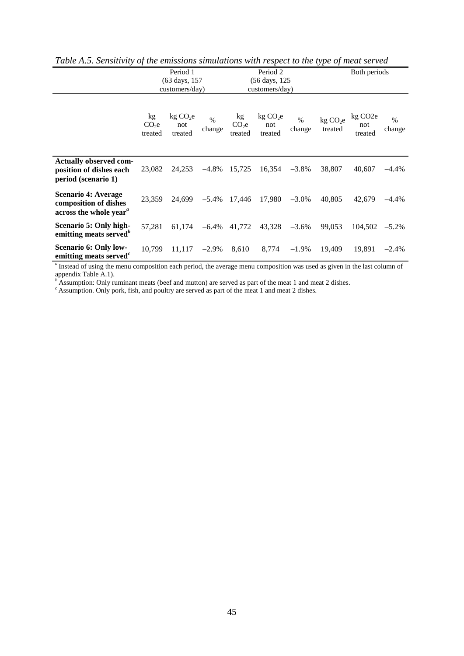| $\overline{\phantom{a}}$<br>✓┖<br>$\overline{J}$                                          |                                    |                                        |                |                                    |                                        |                |                                 |                           |                |  |
|-------------------------------------------------------------------------------------------|------------------------------------|----------------------------------------|----------------|------------------------------------|----------------------------------------|----------------|---------------------------------|---------------------------|----------------|--|
|                                                                                           | Period 1                           |                                        |                | Period 2                           |                                        |                |                                 | Both periods              |                |  |
|                                                                                           | (63 days, 157                      |                                        |                | (56 days, 125)                     |                                        |                |                                 |                           |                |  |
|                                                                                           | customers/day)                     |                                        |                | customers/day)                     |                                        |                |                                 |                           |                |  |
|                                                                                           | kg<br>CO <sub>2</sub> e<br>treated | kg CO <sub>2</sub> e<br>not<br>treated | $\%$<br>change | kg<br>CO <sub>2</sub> e<br>treated | kg CO <sub>2</sub> e<br>not<br>treated | $\%$<br>change | kg CO <sub>2</sub> e<br>treated | kg CO2e<br>not<br>treated | $\%$<br>change |  |
| <b>Actually observed com-</b><br>position of dishes each<br>period (scenario 1)           | 23,082                             | 24,253                                 | $-4.8\%$       | 15,725                             | 16,354                                 | $-3.8\%$       | 38,807                          | 40,607                    | $-4.4%$        |  |
| Scenario 4: Average<br>composition of dishes<br>across the whole year <sup><i>a</i></sup> | 23,359                             | 24,699                                 | $-5.4\%$       | 17,446                             | 17,980                                 | $-3.0\%$       | 40,805                          | 42,679                    | $-4.4%$        |  |
| Scenario 5: Only high-<br>emitting meats served <sup>b</sup>                              | 57,281                             | 61,174                                 | $-6.4\%$       | 41,772                             | 43,328                                 | $-3.6%$        | 99,053                          | 104,502                   | $-5.2\%$       |  |
| Scenario 6: Only low-<br>emitting meats served <sup>c</sup>                               | 10,799                             | 11,117                                 | $-2.9\%$       | 8,610                              | 8,774                                  | $-1.9\%$       | 19,409                          | 19,891                    | $-2.4%$        |  |

<span id="page-45-1"></span>*Table A.5. Sensitivity of the emissions simulations with respect to the type of meat served*

*<sup>a</sup>* Instead of using the menu composition each period, the average menu composition was used as given in the last column of appendix Table A.1).<br>  $\frac{b}{c}$  Assumption: Only ruminant meats (beef and mutton) are served as part of the meat 1 and meat 2 dishes.<br>  $\frac{c}{c}$  Assumption. Only pork, fish, and poultry are served as part of the meat 1 an

<span id="page-45-0"></span>